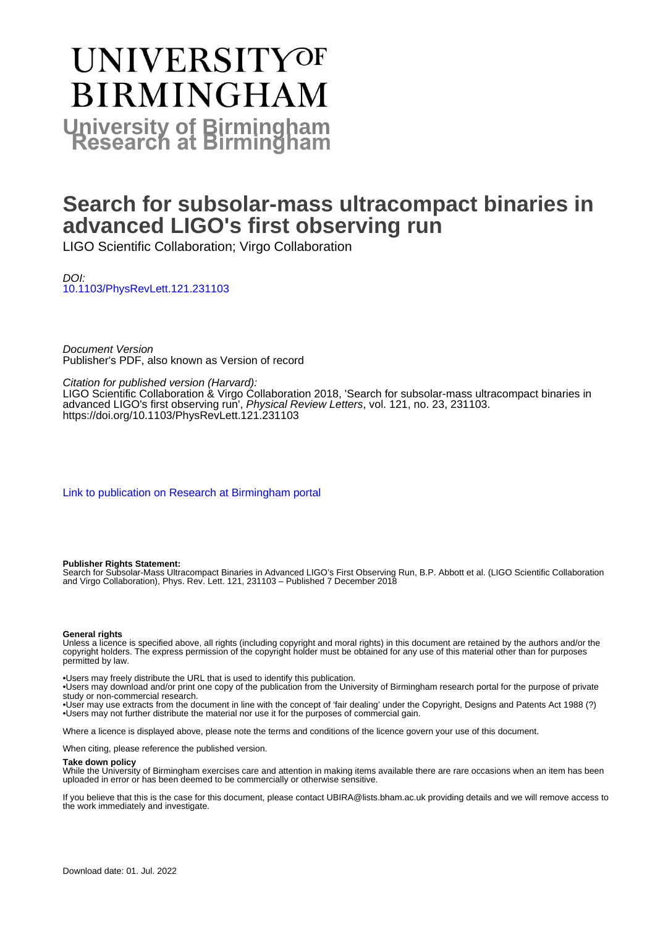# **UNIVERSITYOF BIRMINGHAM University of Birmingham**

# **Search for subsolar-mass ultracompact binaries in advanced LIGO's first observing run**

LIGO Scientific Collaboration; Virgo Collaboration

DOI: [10.1103/PhysRevLett.121.231103](https://doi.org/10.1103/PhysRevLett.121.231103)

Document Version Publisher's PDF, also known as Version of record

## Citation for published version (Harvard):

LIGO Scientific Collaboration & Virgo Collaboration 2018, 'Search for subsolar-mass ultracompact binaries in advanced LIGO's first observing run', Physical Review Letters, vol. 121, no. 23, 231103. <https://doi.org/10.1103/PhysRevLett.121.231103>

[Link to publication on Research at Birmingham portal](https://birmingham.elsevierpure.com/en/publications/7587007a-245b-4284-a2b8-89db0cc27924)

#### **Publisher Rights Statement:**

Search for Subsolar-Mass Ultracompact Binaries in Advanced LIGO's First Observing Run, B.P. Abbott et al. (LIGO Scientific Collaboration and Virgo Collaboration), Phys. Rev. Lett. 121, 231103 – Published 7 December 2018

#### **General rights**

Unless a licence is specified above, all rights (including copyright and moral rights) in this document are retained by the authors and/or the copyright holders. The express permission of the copyright holder must be obtained for any use of this material other than for purposes permitted by law.

• Users may freely distribute the URL that is used to identify this publication.

• Users may download and/or print one copy of the publication from the University of Birmingham research portal for the purpose of private study or non-commercial research.

• User may use extracts from the document in line with the concept of 'fair dealing' under the Copyright, Designs and Patents Act 1988 (?) • Users may not further distribute the material nor use it for the purposes of commercial gain.

Where a licence is displayed above, please note the terms and conditions of the licence govern your use of this document.

When citing, please reference the published version.

#### **Take down policy**

While the University of Birmingham exercises care and attention in making items available there are rare occasions when an item has been uploaded in error or has been deemed to be commercially or otherwise sensitive.

If you believe that this is the case for this document, please contact UBIRA@lists.bham.ac.uk providing details and we will remove access to the work immediately and investigate.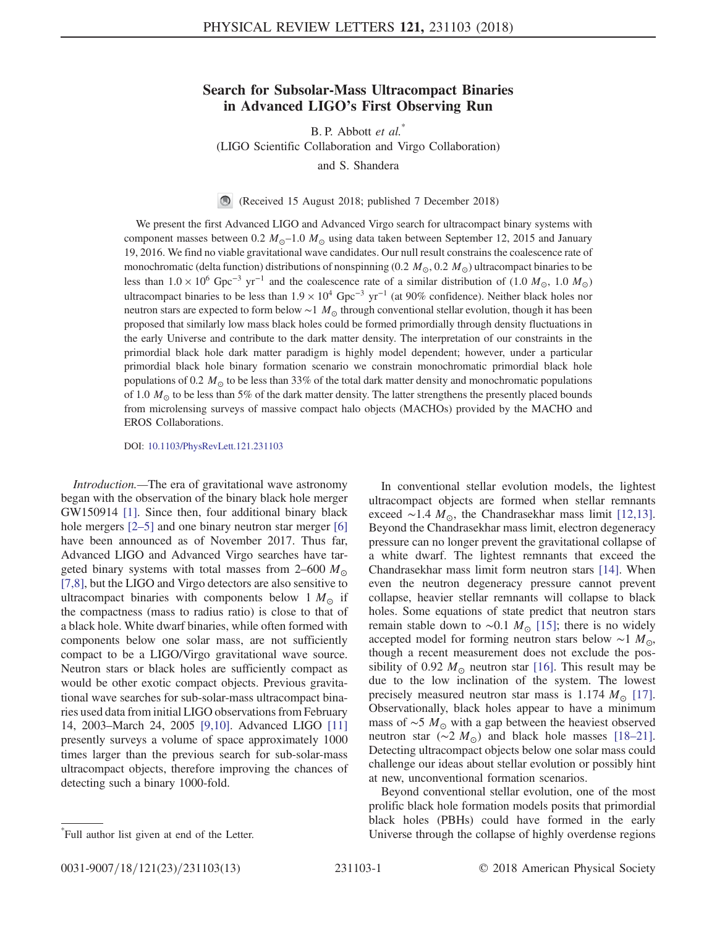# Search for Subsolar-Mass Ultracompact Binaries in Advanced LIGO's First Observing Run

B. P. Abbott et al.<sup>\*</sup>

(LIGO Scientific Collaboration and Virgo Collaboration)

and S. Shandera

 $\bigcirc$ (Received 15 August 2018; published 7 December 2018)

We present the first Advanced LIGO and Advanced Virgo search for ultracompact binary systems with component masses between 0.2  $M_{\odot}$ –1.0  $M_{\odot}$  using data taken between September 12, 2015 and January 19, 2016. We find no viable gravitational wave candidates. Our null result constrains the coalescence rate of monochromatic (delta function) distributions of nonspinning (0.2  $M_{\odot}$ , 0.2  $M_{\odot}$ ) ultracompact binaries to be less than  $1.0 \times 10^6$  Gpc<sup>-3</sup> yr<sup>-1</sup> and the coalescence rate of a similar distribution of (1.0  $M_{\odot}$ , 1.0  $M_{\odot}$ ) ultracompact binaries to be less than  $1.9 \times 10^4$  Gpc<sup>-3</sup> yr<sup>-1</sup> (at 90% confidence). Neither black holes nor neutron stars are expected to form below ∼1  $M_{\odot}$  through conventional stellar evolution, though it has been proposed that similarly low mass black holes could be formed primordially through density fluctuations in the early Universe and contribute to the dark matter density. The interpretation of our constraints in the primordial black hole dark matter paradigm is highly model dependent; however, under a particular primordial black hole binary formation scenario we constrain monochromatic primordial black hole populations of 0.2  $M_{\odot}$  to be less than 33% of the total dark matter density and monochromatic populations of 1.0  $M_{\odot}$  to be less than 5% of the dark matter density. The latter strengthens the presently placed bounds from microlensing surveys of massive compact halo objects (MACHOs) provided by the MACHO and EROS Collaborations.

DOI: [10.1103/PhysRevLett.121.231103](https://doi.org/10.1103/PhysRevLett.121.231103)

Introduction.—The era of gravitational wave astronomy began with the observation of the binary black hole merger GW150914 [\[1\]](#page-5-0). Since then, four additional binary black hole mergers [\[2](#page-5-1)–5] and one binary neutron star merger [\[6\]](#page-5-2) have been announced as of November 2017. Thus far, Advanced LIGO and Advanced Virgo searches have targeted binary systems with total masses from 2–600  $M_{\odot}$ [\[7,8\],](#page-5-3) but the LIGO and Virgo detectors are also sensitive to ultracompact binaries with components below 1  $M_{\odot}$  if the compactness (mass to radius ratio) is close to that of a black hole. White dwarf binaries, while often formed with components below one solar mass, are not sufficiently compact to be a LIGO/Virgo gravitational wave source. Neutron stars or black holes are sufficiently compact as would be other exotic compact objects. Previous gravitational wave searches for sub-solar-mass ultracompact binaries used data from initial LIGO observations from February 14, 2003–March 24, 2005 [\[9,10\]](#page-5-4). Advanced LIGO [\[11\]](#page-5-5) presently surveys a volume of space approximately 1000 times larger than the previous search for sub-solar-mass ultracompact objects, therefore improving the chances of detecting such a binary 1000-fold.

In conventional stellar evolution models, the lightest ultracompact objects are formed when stellar remnants exceed ∼1.4  $M_{\odot}$ , the Chandrasekhar mass limit [\[12,13\]](#page-5-6). Beyond the Chandrasekhar mass limit, electron degeneracy pressure can no longer prevent the gravitational collapse of a white dwarf. The lightest remnants that exceed the Chandrasekhar mass limit form neutron stars [\[14\].](#page-5-7) When even the neutron degeneracy pressure cannot prevent collapse, heavier stellar remnants will collapse to black holes. Some equations of state predict that neutron stars remain stable down to ~0.1  $M_{\odot}$  [\[15\]](#page-5-8); there is no widely accepted model for forming neutron stars below ∼1  $M_{\odot}$ , though a recent measurement does not exclude the possibility of 0.92  $M_{\odot}$  neutron star [\[16\].](#page-5-9) This result may be due to the low inclination of the system. The lowest precisely measured neutron star mass is 1.174  $M_{\odot}$  [\[17\]](#page-5-10). Observationally, black holes appear to have a minimum mass of  $\sim$ 5  $M_{\odot}$  with a gap between the heaviest observed neutron star ( $\sim$ 2 M<sub>☉</sub>) and black hole masses [\[18](#page-5-11)–21]. Detecting ultracompact objects below one solar mass could challenge our ideas about stellar evolution or possibly hint at new, unconventional formation scenarios.

Beyond conventional stellar evolution, one of the most prolific black hole formation models posits that primordial black holes (PBHs) could have formed in the early Universe through the collapse of highly overdense regions \*

Full author list given at end of the Letter.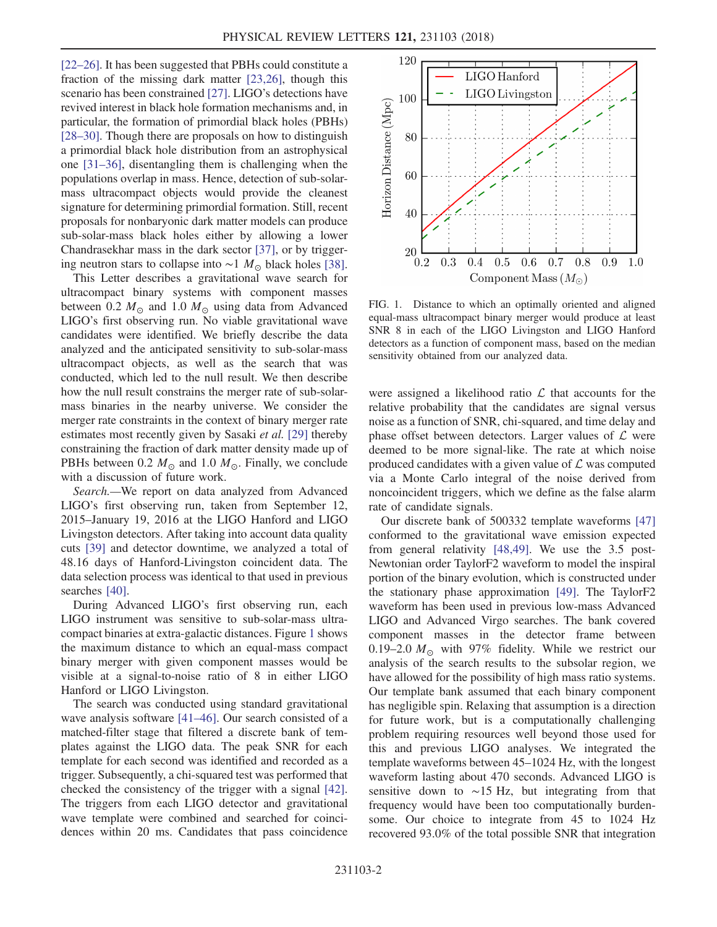[\[22](#page-5-12)–26]. It has been suggested that PBHs could constitute a fraction of the missing dark matter [\[23,26\]](#page-5-13), though this scenario has been constrained [\[27\]](#page-6-0). LIGO's detections have revived interest in black hole formation mechanisms and, in particular, the formation of primordial black holes (PBHs) [\[28](#page-6-1)–30]. Though there are proposals on how to distinguish a primordial black hole distribution from an astrophysical one [31–[36\],](#page-6-2) disentangling them is challenging when the populations overlap in mass. Hence, detection of sub-solarmass ultracompact objects would provide the cleanest signature for determining primordial formation. Still, recent proposals for nonbaryonic dark matter models can produce sub-solar-mass black holes either by allowing a lower Chandrasekhar mass in the dark sector [\[37\]](#page-6-3), or by triggering neutron stars to collapse into ∼1  $M_{\odot}$  black holes [\[38\]](#page-6-4).

This Letter describes a gravitational wave search for ultracompact binary systems with component masses between 0.2  $M_{\odot}$  and 1.0  $M_{\odot}$  using data from Advanced LIGO's first observing run. No viable gravitational wave candidates were identified. We briefly describe the data analyzed and the anticipated sensitivity to sub-solar-mass ultracompact objects, as well as the search that was conducted, which led to the null result. We then describe how the null result constrains the merger rate of sub-solarmass binaries in the nearby universe. We consider the merger rate constraints in the context of binary merger rate estimates most recently given by Sasaki *et al.* [\[29\]](#page-6-5) thereby constraining the fraction of dark matter density made up of PBHs between 0.2  $M_{\odot}$  and 1.0  $M_{\odot}$ . Finally, we conclude with a discussion of future work.

Search.—We report on data analyzed from Advanced LIGO's first observing run, taken from September 12, 2015–January 19, 2016 at the LIGO Hanford and LIGO Livingston detectors. After taking into account data quality cuts [\[39\]](#page-6-6) and detector downtime, we analyzed a total of 48.16 days of Hanford-Livingston coincident data. The data selection process was identical to that used in previous searches [\[40\].](#page-6-7)

During Advanced LIGO's first observing run, each LIGO instrument was sensitive to sub-solar-mass ultracompact binaries at extra-galactic distances. Figure [1](#page-2-0) shows the maximum distance to which an equal-mass compact binary merger with given component masses would be visible at a signal-to-noise ratio of 8 in either LIGO Hanford or LIGO Livingston.

The search was conducted using standard gravitational wave analysis software [41–[46\].](#page-6-8) Our search consisted of a matched-filter stage that filtered a discrete bank of templates against the LIGO data. The peak SNR for each template for each second was identified and recorded as a trigger. Subsequently, a chi-squared test was performed that checked the consistency of the trigger with a signal [\[42\]](#page-6-9). The triggers from each LIGO detector and gravitational wave template were combined and searched for coincidences within 20 ms. Candidates that pass coincidence

<span id="page-2-0"></span>

FIG. 1. Distance to which an optimally oriented and aligned equal-mass ultracompact binary merger would produce at least SNR 8 in each of the LIGO Livingston and LIGO Hanford detectors as a function of component mass, based on the median sensitivity obtained from our analyzed data.

were assigned a likelihood ratio  $\mathcal L$  that accounts for the relative probability that the candidates are signal versus noise as a function of SNR, chi-squared, and time delay and phase offset between detectors. Larger values of  $\mathcal L$  were deemed to be more signal-like. The rate at which noise produced candidates with a given value of  $\mathcal L$  was computed via a Monte Carlo integral of the noise derived from noncoincident triggers, which we define as the false alarm rate of candidate signals.

Our discrete bank of 500332 template waveforms [\[47\]](#page-6-10) conformed to the gravitational wave emission expected from general relativity [\[48,49\].](#page-6-11) We use the 3.5 post-Newtonian order TaylorF2 waveform to model the inspiral portion of the binary evolution, which is constructed under the stationary phase approximation [\[49\]](#page-6-12). The TaylorF2 waveform has been used in previous low-mass Advanced LIGO and Advanced Virgo searches. The bank covered component masses in the detector frame between 0.19–2.0  $M_{\odot}$  with 97% fidelity. While we restrict our analysis of the search results to the subsolar region, we have allowed for the possibility of high mass ratio systems. Our template bank assumed that each binary component has negligible spin. Relaxing that assumption is a direction for future work, but is a computationally challenging problem requiring resources well beyond those used for this and previous LIGO analyses. We integrated the template waveforms between 45–1024 Hz, with the longest waveform lasting about 470 seconds. Advanced LIGO is sensitive down to ∼15 Hz, but integrating from that frequency would have been too computationally burdensome. Our choice to integrate from 45 to 1024 Hz recovered 93.0% of the total possible SNR that integration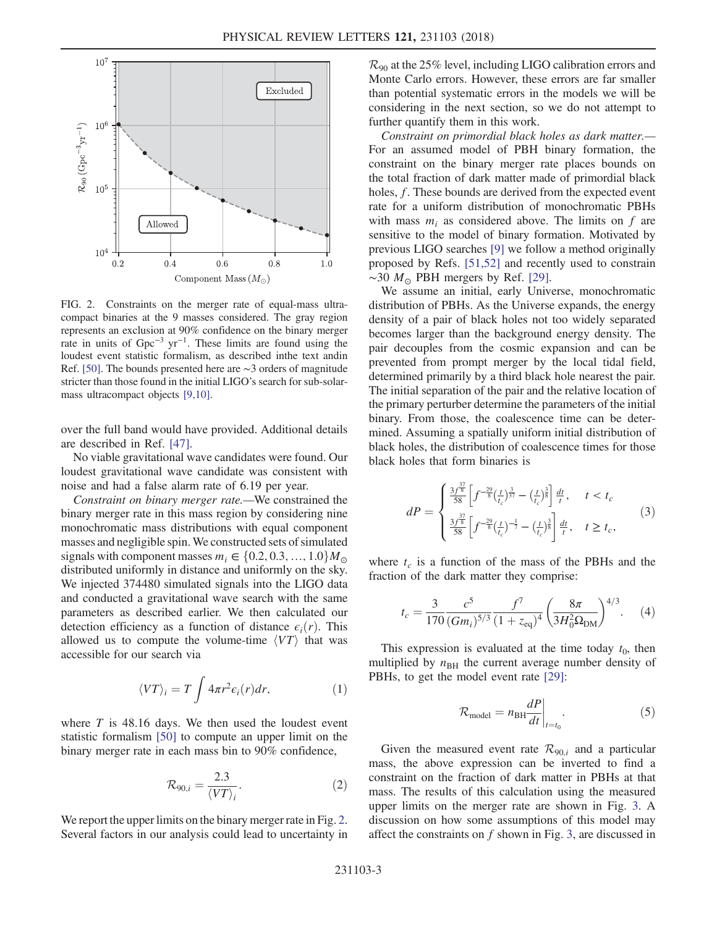<span id="page-3-0"></span>

FIG. 2. Constraints on the merger rate of equal-mass ultracompact binaries at the 9 masses considered. The gray region represents an exclusion at 90% confidence on the binary merger rate in units of  $Gpc^{-3}$  yr<sup>-1</sup>. These limits are found using the loudest event statistic formalism, as described inthe text andin Ref. [\[50\].](#page-6-13) The bounds presented here are ∼3 orders of magnitude stricter than those found in the initial LIGO's search for sub-solarmass ultracompact objects [\[9,10\]](#page-5-4).

over the full band would have provided. Additional details are described in Ref. [\[47\].](#page-6-10)

No viable gravitational wave candidates were found. Our loudest gravitational wave candidate was consistent with noise and had a false alarm rate of 6.19 per year.

Constraint on binary merger rate.—We constrained the binary merger rate in this mass region by considering nine monochromatic mass distributions with equal component masses and negligible spin.We constructed sets of simulated signals with component masses  $m_i \in \{0.2, 0.3, ..., 1.0\}$  $M_{\odot}$ distributed uniformly in distance and uniformly on the sky. We injected 374480 simulated signals into the LIGO data and conducted a gravitational wave search with the same parameters as described earlier. We then calculated our detection efficiency as a function of distance  $\epsilon_i(r)$ . This allowed us to compute the volume-time  $\langle VT \rangle$  that was accessible for our search via

$$
\langle VT \rangle_i = T \int 4\pi r^2 \epsilon_i(r) dr,\tag{1}
$$

where  $T$  is 48.16 days. We then used the loudest event statistic formalism [\[50\]](#page-6-13) to compute an upper limit on the binary merger rate in each mass bin to 90% confidence,

$$
\mathcal{R}_{90,i} = \frac{2.3}{\langle VT \rangle_i}.
$$
 (2)

We report the upper limits on the binary merger rate in Fig. [2](#page-3-0). Several factors in our analysis could lead to uncertainty in  $\mathcal{R}_{90}$  at the 25% level, including LIGO calibration errors and Monte Carlo errors. However, these errors are far smaller than potential systematic errors in the models we will be considering in the next section, so we do not attempt to further quantify them in this work.

Constraint on primordial black holes as dark matter.— For an assumed model of PBH binary formation, the constraint on the binary merger rate places bounds on the total fraction of dark matter made of primordial black holes, f. These bounds are derived from the expected event rate for a uniform distribution of monochromatic PBHs with mass  $m_i$  as considered above. The limits on f are sensitive to the model of binary formation. Motivated by previous LIGO searches [\[9\]](#page-5-4) we follow a method originally proposed by Refs. [\[51,52\]](#page-6-14) and recently used to constrain  $\sim$ 30  $M_{\odot}$  PBH mergers by Ref. [\[29\].](#page-6-5)

We assume an initial, early Universe, monochromatic distribution of PBHs. As the Universe expands, the energy density of a pair of black holes not too widely separated becomes larger than the background energy density. The pair decouples from the cosmic expansion and can be prevented from prompt merger by the local tidal field, determined primarily by a third black hole nearest the pair. The initial separation of the pair and the relative location of the primary perturber determine the parameters of the initial binary. From those, the coalescence time can be determined. Assuming a spatially uniform initial distribution of black holes, the distribution of coalescence times for those black holes that form binaries is

$$
dP = \begin{cases} \frac{3f^{\frac{37}{8}}}{58} \left[ f^{-\frac{29}{8}} \left( \frac{t}{t_c} \right)^{\frac{3}{37}} - \left( \frac{t}{t_c} \right)^{\frac{3}{8}} \right] \frac{dt}{t}, & t < t_c\\ \frac{3f^{\frac{37}{8}}}{58} \left[ f^{-\frac{29}{8}} \left( \frac{t}{t_c} \right)^{-\frac{1}{7}} - \left( \frac{t}{t_c} \right)^{\frac{3}{8}} \right] \frac{dt}{t}, & t \ge t_c, \end{cases} \tag{3}
$$

where  $t_c$  is a function of the mass of the PBHs and the fraction of the dark matter they comprise:

$$
t_c = \frac{3}{170} \frac{c^5}{(Gm_i)^{5/3}} \frac{f^7}{(1+z_{\text{eq}})^4} \left(\frac{8\pi}{3H_0^2 \Omega_{\text{DM}}}\right)^{4/3}.
$$
 (4)

This expression is evaluated at the time today  $t_0$ , then multiplied by  $n<sub>BH</sub>$  the current average number density of PBHs, to get the model event rate [\[29\]:](#page-6-5)

$$
\mathcal{R}_{\text{model}} = n_{\text{BH}} \frac{dP}{dt} \bigg|_{t=t_0}.
$$
\n(5)

Given the measured event rate  $\mathcal{R}_{90,i}$  and a particular mass, the above expression can be inverted to find a constraint on the fraction of dark matter in PBHs at that mass. The results of this calculation using the measured upper limits on the merger rate are shown in Fig. [3](#page-4-0). A discussion on how some assumptions of this model may affect the constraints on f shown in Fig. [3](#page-4-0), are discussed in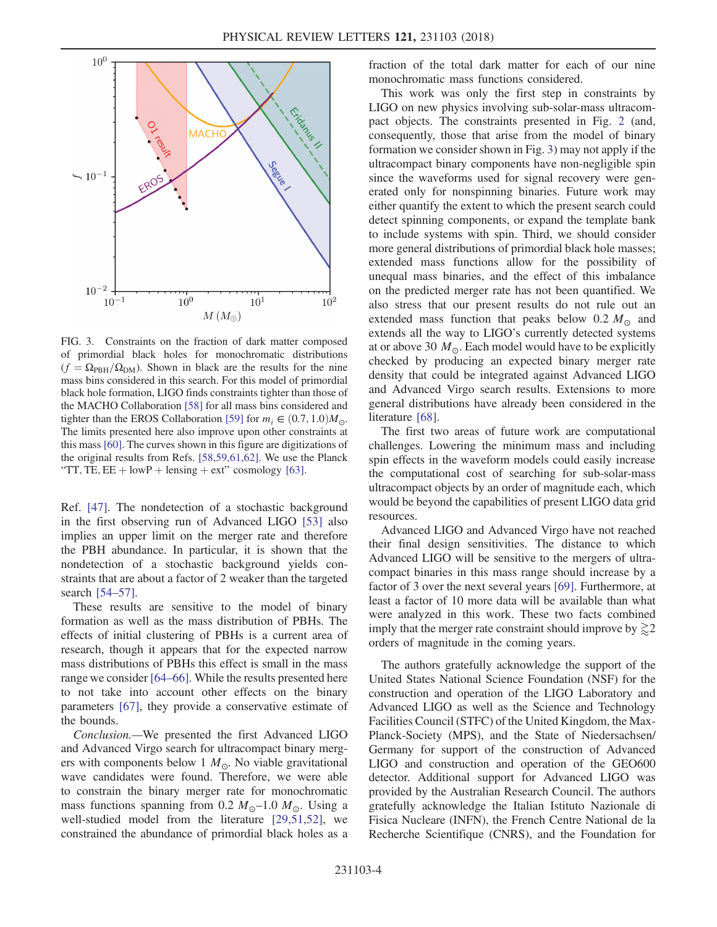<span id="page-4-0"></span>

FIG. 3. Constraints on the fraction of dark matter composed of primordial black holes for monochromatic distributions  $(f = \Omega_{\rm PBH}/\Omega_{\rm DM})$ . Shown in black are the results for the nine mass bins considered in this search. For this model of primordial black hole formation, LIGO finds constraints tighter than those of the MACHO Collaboration [\[58\]](#page-6-17) for all mass bins considered and tighter than the EROS Collaboration [\[59\]](#page-6-18) for  $m_i \in (0.7, 1.0)M_\odot$ . The limits presented here also improve upon other constraints at this mass [\[60\]](#page-6-19). The curves shown in this figure are digitizations of the original results from Refs. [\[58,59,61,62\].](#page-6-17) We use the Planck "TT, TE,  $EE + lowP + lensing + ext$ " cosmology [\[63\].](#page-7-4)

Ref. [\[47\].](#page-6-10) The nondetection of a stochastic background in the first observing run of Advanced LIGO [\[53\]](#page-6-15) also implies an upper limit on the merger rate and therefore the PBH abundance. In particular, it is shown that the nondetection of a stochastic background yields constraints that are about a factor of 2 weaker than the targeted search [\[54](#page-6-16)–57].

These results are sensitive to the model of binary formation as well as the mass distribution of PBHs. The effects of initial clustering of PBHs is a current area of research, though it appears that for the expected narrow mass distributions of PBHs this effect is small in the mass range we consider [\[64](#page-7-0)–66]. While the results presented here to not take into account other effects on the binary parameters [\[67\],](#page-7-1) they provide a conservative estimate of the bounds.

Conclusion.—We presented the first Advanced LIGO and Advanced Virgo search for ultracompact binary mergers with components below 1  $M_{\odot}$ . No viable gravitational wave candidates were found. Therefore, we were able to constrain the binary merger rate for monochromatic mass functions spanning from 0.2  $M_{\odot}$ –1.0  $M_{\odot}$ . Using a well-studied model from the literature [\[29,51,52\],](#page-6-5) we constrained the abundance of primordial black holes as a fraction of the total dark matter for each of our nine monochromatic mass functions considered.

This work was only the first step in constraints by LIGO on new physics involving sub-solar-mass ultracompact objects. The constraints presented in Fig. [2](#page-3-0) (and, consequently, those that arise from the model of binary formation we consider shown in Fig. [3\)](#page-4-0) may not apply if the ultracompact binary components have non-negligible spin since the waveforms used for signal recovery were generated only for nonspinning binaries. Future work may either quantify the extent to which the present search could detect spinning components, or expand the template bank to include systems with spin. Third, we should consider more general distributions of primordial black hole masses; extended mass functions allow for the possibility of unequal mass binaries, and the effect of this imbalance on the predicted merger rate has not been quantified. We also stress that our present results do not rule out an extended mass function that peaks below 0.2  $M_{\odot}$  and extends all the way to LIGO's currently detected systems at or above 30  $M_{\odot}$ . Each model would have to be explicitly checked by producing an expected binary merger rate density that could be integrated against Advanced LIGO and Advanced Virgo search results. Extensions to more general distributions have already been considered in the literature [\[68\]](#page-7-2).

The first two areas of future work are computational challenges. Lowering the minimum mass and including spin effects in the waveform models could easily increase the computational cost of searching for sub-solar-mass ultracompact objects by an order of magnitude each, which would be beyond the capabilities of present LIGO data grid resources.

Advanced LIGO and Advanced Virgo have not reached their final design sensitivities. The distance to which Advanced LIGO will be sensitive to the mergers of ultracompact binaries in this mass range should increase by a factor of 3 over the next several years [\[69\]](#page-7-3). Furthermore, at least a factor of 10 more data will be available than what were analyzed in this work. These two facts combined imply that the merger rate constraint should improve by  $\geq 2$ orders of magnitude in the coming years.

The authors gratefully acknowledge the support of the United States National Science Foundation (NSF) for the construction and operation of the LIGO Laboratory and Advanced LIGO as well as the Science and Technology Facilities Council (STFC) of the United Kingdom, the Max-Planck-Society (MPS), and the State of Niedersachsen/ Germany for support of the construction of Advanced LIGO and construction and operation of the GEO600 detector. Additional support for Advanced LIGO was provided by the Australian Research Council. The authors gratefully acknowledge the Italian Istituto Nazionale di Fisica Nucleare (INFN), the French Centre National de la Recherche Scientifique (CNRS), and the Foundation for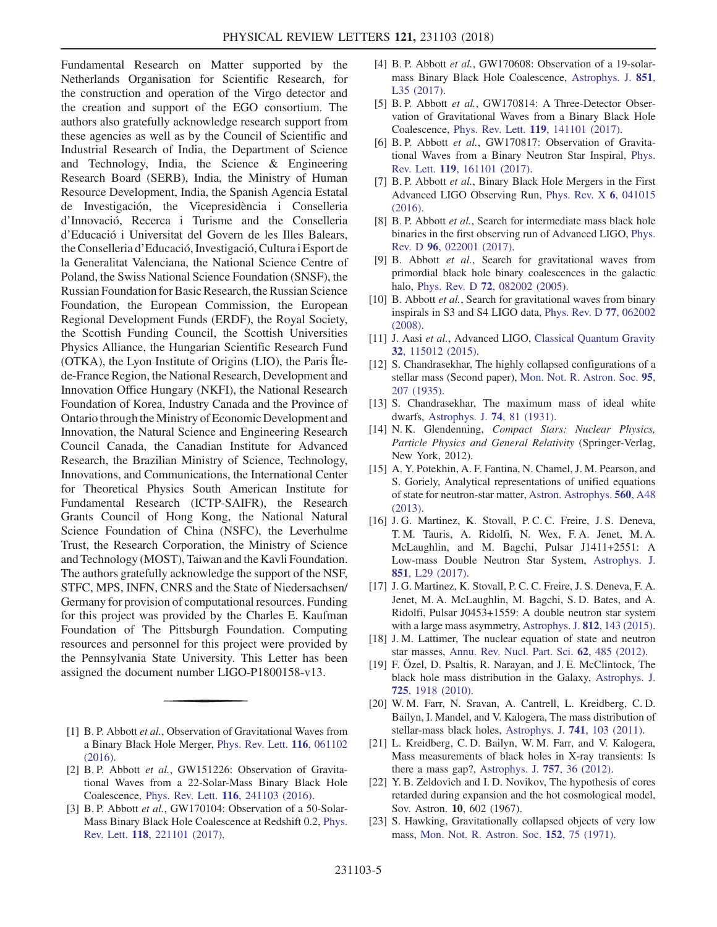Fundamental Research on Matter supported by the Netherlands Organisation for Scientific Research, for the construction and operation of the Virgo detector and the creation and support of the EGO consortium. The authors also gratefully acknowledge research support from these agencies as well as by the Council of Scientific and Industrial Research of India, the Department of Science and Technology, India, the Science & Engineering Research Board (SERB), India, the Ministry of Human Resource Development, India, the Spanish Agencia Estatal de Investigación, the Vicepresidència i Conselleria d'Innovació, Recerca i Turisme and the Conselleria d'Educació i Universitat del Govern de les Illes Balears, the Conselleria d'Educació, Investigació, Cultura i Esport de la Generalitat Valenciana, the National Science Centre of Poland, the Swiss National Science Foundation (SNSF), the Russian Foundation for Basic Research, the Russian Science Foundation, the European Commission, the European Regional Development Funds (ERDF), the Royal Society, the Scottish Funding Council, the Scottish Universities Physics Alliance, the Hungarian Scientific Research Fund (OTKA), the Lyon Institute of Origins (LIO), the Paris Îlede-France Region, the National Research, Development and Innovation Office Hungary (NKFI), the National Research Foundation of Korea, Industry Canada and the Province of Ontario through the Ministry of Economic Development and Innovation, the Natural Science and Engineering Research Council Canada, the Canadian Institute for Advanced Research, the Brazilian Ministry of Science, Technology, Innovations, and Communications, the International Center for Theoretical Physics South American Institute for Fundamental Research (ICTP-SAIFR), the Research Grants Council of Hong Kong, the National Natural Science Foundation of China (NSFC), the Leverhulme Trust, the Research Corporation, the Ministry of Science and Technology (MOST), Taiwan and the Kavli Foundation. The authors gratefully acknowledge the support of the NSF, STFC, MPS, INFN, CNRS and the State of Niedersachsen/ Germany for provision of computational resources. Funding for this project was provided by the Charles E. Kaufman Foundation of The Pittsburgh Foundation. Computing resources and personnel for this project were provided by the Pennsylvania State University. This Letter has been assigned the document number LIGO-P1800158-v13.

- <span id="page-5-0"></span>[1] B. P. Abbott et al., Observation of Gravitational Waves from a Binary Black Hole Merger, [Phys. Rev. Lett.](https://doi.org/10.1103/PhysRevLett.116.061102) 116, 061102 [\(2016\).](https://doi.org/10.1103/PhysRevLett.116.061102)
- <span id="page-5-1"></span>[2] B. P. Abbott et al., GW151226: Observation of Gravitational Waves from a 22-Solar-Mass Binary Black Hole Coalescence, Phys. Rev. Lett. 116[, 241103 \(2016\).](https://doi.org/10.1103/PhysRevLett.116.241103)
- [3] B. P. Abbott et al., GW170104: Observation of a 50-Solar-Mass Binary Black Hole Coalescence at Redshift 0.2, [Phys.](https://doi.org/10.1103/PhysRevLett.118.221101) Rev. Lett. 118[, 221101 \(2017\).](https://doi.org/10.1103/PhysRevLett.118.221101)
- [4] B. P. Abbott et al., GW170608: Observation of a 19-solarmass Binary Black Hole Coalescence, [Astrophys. J.](https://doi.org/10.3847/2041-8213/aa9f0c) 851, [L35 \(2017\)](https://doi.org/10.3847/2041-8213/aa9f0c).
- [5] B. P. Abbott et al., GW170814: A Three-Detector Observation of Gravitational Waves from a Binary Black Hole Coalescence, Phys. Rev. Lett. 119[, 141101 \(2017\).](https://doi.org/10.1103/PhysRevLett.119.141101)
- <span id="page-5-2"></span>[6] B. P. Abbott et al., GW170817: Observation of Gravitational Waves from a Binary Neutron Star Inspiral, [Phys.](https://doi.org/10.1103/PhysRevLett.119.161101) Rev. Lett. 119[, 161101 \(2017\).](https://doi.org/10.1103/PhysRevLett.119.161101)
- <span id="page-5-3"></span>[7] B. P. Abbott et al., Binary Black Hole Mergers in the First Advanced LIGO Observing Run, [Phys. Rev. X](https://doi.org/10.1103/PhysRevX.6.041015) 6, 041015 [\(2016\).](https://doi.org/10.1103/PhysRevX.6.041015)
- [8] B. P. Abbott et al., Search for intermediate mass black hole binaries in the first observing run of Advanced LIGO, [Phys.](https://doi.org/10.1103/PhysRevD.96.022001) Rev. D 96[, 022001 \(2017\)](https://doi.org/10.1103/PhysRevD.96.022001).
- <span id="page-5-4"></span>[9] B. Abbott et al., Search for gravitational waves from primordial black hole binary coalescences in the galactic halo, Phys. Rev. D **72**[, 082002 \(2005\)](https://doi.org/10.1103/PhysRevD.72.082002).
- [10] B. Abbott *et al.*, Search for gravitational waves from binary inspirals in S3 and S4 LIGO data, [Phys. Rev. D](https://doi.org/10.1103/PhysRevD.77.062002) 77, 062002 [\(2008\).](https://doi.org/10.1103/PhysRevD.77.062002)
- <span id="page-5-5"></span>[11] J. Aasi et al., Advanced LIGO, [Classical Quantum Gravity](https://doi.org/10.1088/0264-9381/32/11/115012) 32[, 115012 \(2015\).](https://doi.org/10.1088/0264-9381/32/11/115012)
- <span id="page-5-6"></span>[12] S. Chandrasekhar, The highly collapsed configurations of a stellar mass (Second paper), [Mon. Not. R. Astron. Soc.](https://doi.org/10.1093/mnras/95.3.207) 95, [207 \(1935\)](https://doi.org/10.1093/mnras/95.3.207).
- [13] S. Chandrasekhar, The maximum mass of ideal white dwarfs, [Astrophys. J.](https://doi.org/10.1086/143324) 74, 81 (1931).
- <span id="page-5-7"></span>[14] N. K. Glendenning, Compact Stars: Nuclear Physics, Particle Physics and General Relativity (Springer-Verlag, New York, 2012).
- <span id="page-5-8"></span>[15] A. Y. Potekhin, A. F. Fantina, N. Chamel, J. M. Pearson, and S. Goriely, Analytical representations of unified equations of state for neutron-star matter, [Astron. Astrophys.](https://doi.org/10.1051/0004-6361/201321697) 560, A48 [\(2013\).](https://doi.org/10.1051/0004-6361/201321697)
- <span id="page-5-9"></span>[16] J. G. Martinez, K. Stovall, P. C. C. Freire, J. S. Deneva, T. M. Tauris, A. Ridolfi, N. Wex, F. A. Jenet, M. A. McLaughlin, and M. Bagchi, Pulsar J1411+2551: A Low-mass Double Neutron Star System, [Astrophys. J.](https://doi.org/10.3847/2041-8213/aa9d87) 851[, L29 \(2017\)](https://doi.org/10.3847/2041-8213/aa9d87).
- <span id="page-5-10"></span>[17] J. G. Martinez, K. Stovall, P. C. C. Freire, J. S. Deneva, F. A. Jenet, M. A. McLaughlin, M. Bagchi, S. D. Bates, and A. Ridolfi, Pulsar J0453+1559: A double neutron star system with a large mass asymmetry, [Astrophys. J.](https://doi.org/10.1088/0004-637X/812/2/143) 812, 143 (2015).
- <span id="page-5-11"></span>[18] J. M. Lattimer, The nuclear equation of state and neutron star masses, [Annu. Rev. Nucl. Part. Sci.](https://doi.org/10.1146/annurev-nucl-102711-095018) 62, 485 (2012).
- [19] F. Özel, D. Psaltis, R. Narayan, and J. E. McClintock, The black hole mass distribution in the Galaxy, [Astrophys. J.](https://doi.org/10.1088/0004-637X/725/2/1918) 725[, 1918 \(2010\)](https://doi.org/10.1088/0004-637X/725/2/1918).
- [20] W. M. Farr, N. Sravan, A. Cantrell, L. Kreidberg, C. D. Bailyn, I. Mandel, and V. Kalogera, The mass distribution of stellar-mass black holes, [Astrophys. J.](https://doi.org/10.1088/0004-637X/741/2/103) 741, 103 (2011).
- [21] L. Kreidberg, C. D. Bailyn, W. M. Farr, and V. Kalogera, Mass measurements of black holes in X-ray transients: Is there a mass gap?, [Astrophys. J.](https://doi.org/10.1088/0004-637X/757/1/36) 757, 36 (2012).
- <span id="page-5-12"></span>[22] Y. B. Zeldovich and I. D. Novikov, The hypothesis of cores retarded during expansion and the hot cosmological model, Sov. Astron. 10, 602 (1967).
- <span id="page-5-13"></span>[23] S. Hawking, Gravitationally collapsed objects of very low mass, [Mon. Not. R. Astron. Soc.](https://doi.org/10.1093/mnras/152.1.75) 152, 75 (1971).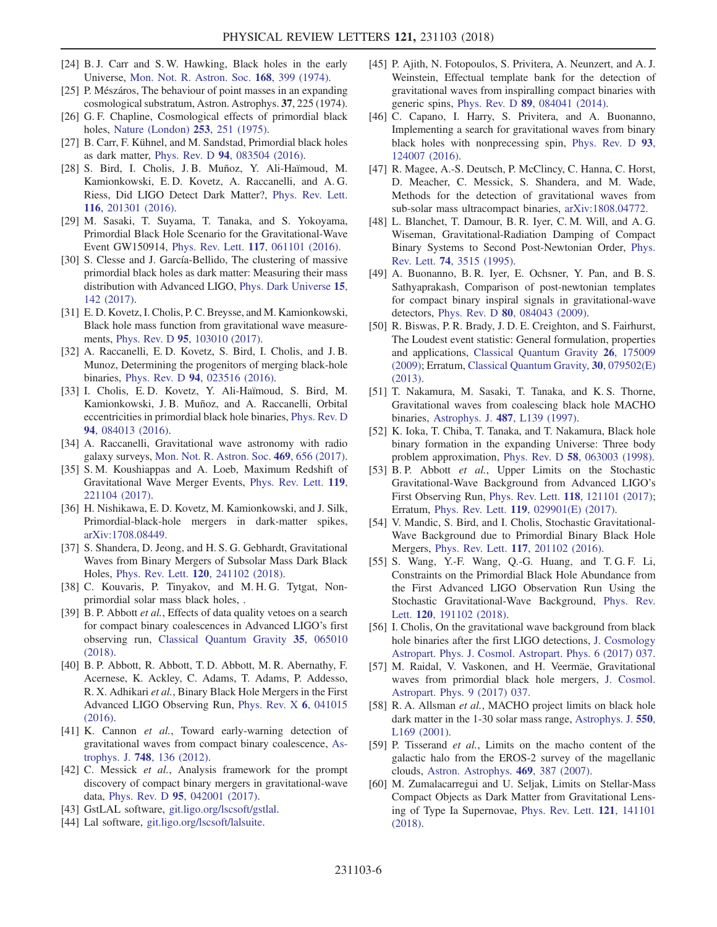- [24] B. J. Carr and S. W. Hawking, Black holes in the early Universe, [Mon. Not. R. Astron. Soc.](https://doi.org/10.1093/mnras/168.2.399) 168, 399 (1974).
- [25] P. Mészáros, The behaviour of point masses in an expanding cosmological substratum, Astron. Astrophys. 37, 225 (1974).
- [26] G. F. Chapline, Cosmological effects of primordial black holes, [Nature \(London\)](https://doi.org/10.1038/253251a0) 253, 251 (1975).
- <span id="page-6-0"></span>[27] B. Carr, F. Kühnel, and M. Sandstad, Primordial black holes as dark matter, Phys. Rev. D 94[, 083504 \(2016\).](https://doi.org/10.1103/PhysRevD.94.083504)
- <span id="page-6-1"></span>[28] S. Bird, I. Cholis, J. B. Muñoz, Y. Ali-Haïmoud, M. Kamionkowski, E. D. Kovetz, A. Raccanelli, and A. G. Riess, Did LIGO Detect Dark Matter?, [Phys. Rev. Lett.](https://doi.org/10.1103/PhysRevLett.116.201301) 116[, 201301 \(2016\).](https://doi.org/10.1103/PhysRevLett.116.201301)
- <span id="page-6-5"></span>[29] M. Sasaki, T. Suyama, T. Tanaka, and S. Yokoyama, Primordial Black Hole Scenario for the Gravitational-Wave Event GW150914, Phys. Rev. Lett. 117[, 061101 \(2016\)](https://doi.org/10.1103/PhysRevLett.117.061101).
- [30] S. Clesse and J. García-Bellido, The clustering of massive primordial black holes as dark matter: Measuring their mass distribution with Advanced LIGO, [Phys. Dark Universe](https://doi.org/10.1016/j.dark.2016.10.002) 15, [142 \(2017\)](https://doi.org/10.1016/j.dark.2016.10.002).
- <span id="page-6-2"></span>[31] E. D. Kovetz, I. Cholis, P. C. Breysse, and M. Kamionkowski, Black hole mass function from gravitational wave measurements, Phys. Rev. D 95[, 103010 \(2017\)](https://doi.org/10.1103/PhysRevD.95.103010).
- [32] A. Raccanelli, E.D. Kovetz, S. Bird, I. Cholis, and J.B. Munoz, Determining the progenitors of merging black-hole binaries, Phys. Rev. D 94[, 023516 \(2016\).](https://doi.org/10.1103/PhysRevD.94.023516)
- [33] I. Cholis, E. D. Kovetz, Y. Ali-Haïmoud, S. Bird, M. Kamionkowski, J. B. Muñoz, and A. Raccanelli, Orbital eccentricities in primordial black hole binaries, [Phys. Rev. D](https://doi.org/10.1103/PhysRevD.94.084013) 94[, 084013 \(2016\).](https://doi.org/10.1103/PhysRevD.94.084013)
- [34] A. Raccanelli, Gravitational wave astronomy with radio galaxy surveys, [Mon. Not. R. Astron. Soc.](https://doi.org/10.1093/mnras/stx835) 469, 656 (2017).
- [35] S. M. Koushiappas and A. Loeb, Maximum Redshift of Gravitational Wave Merger Events, [Phys. Rev. Lett.](https://doi.org/10.1103/PhysRevLett.119.221104) 119, [221104 \(2017\).](https://doi.org/10.1103/PhysRevLett.119.221104)
- [36] H. Nishikawa, E. D. Kovetz, M. Kamionkowski, and J. Silk, Primordial-black-hole mergers in dark-matter spikes, [arXiv:1708.08449.](http://arXiv.org/abs/1708.08449)
- <span id="page-6-3"></span>[37] S. Shandera, D. Jeong, and H. S. G. Gebhardt, Gravitational Waves from Binary Mergers of Subsolar Mass Dark Black Holes, Phys. Rev. Lett. 120[, 241102 \(2018\).](https://doi.org/10.1103/PhysRevLett.120.241102)
- <span id="page-6-6"></span><span id="page-6-4"></span>[38] C. Kouvaris, P. Tinyakov, and M.H.G. Tytgat, Nonprimordial solar mass black holes, .
- [39] B. P. Abbott et al., Effects of data quality vetoes on a search for compact binary coalescences in Advanced LIGO's first observing run, [Classical Quantum Gravity](https://doi.org/10.1088/1361-6382/aaaafa) 35, 065010 [\(2018\).](https://doi.org/10.1088/1361-6382/aaaafa)
- <span id="page-6-7"></span>[40] B. P. Abbott, R. Abbott, T. D. Abbott, M. R. Abernathy, F. Acernese, K. Ackley, C. Adams, T. Adams, P. Addesso, R. X. Adhikari et al., Binary Black Hole Mergers in the First Advanced LIGO Observing Run, [Phys. Rev. X](https://doi.org/10.1103/PhysRevX.6.041015) 6, 041015 [\(2016\).](https://doi.org/10.1103/PhysRevX.6.041015)
- <span id="page-6-8"></span>[41] K. Cannon et al., Toward early-warning detection of gravitational waves from compact binary coalescence, [As](https://doi.org/10.1088/0004-637X/748/2/136)trophys. J. 748[, 136 \(2012\).](https://doi.org/10.1088/0004-637X/748/2/136)
- <span id="page-6-9"></span>[42] C. Messick et al., Analysis framework for the prompt discovery of compact binary mergers in gravitational-wave data, Phys. Rev. D 95[, 042001 \(2017\).](https://doi.org/10.1103/PhysRevD.95.042001)
- [43] GstLAL software, <git.ligo.org/lscsoft/gstlal>.
- [44] Lal software, <git.ligo.org/lscsoft/lalsuite>.
- [45] P. Ajith, N. Fotopoulos, S. Privitera, A. Neunzert, and A. J. Weinstein, Effectual template bank for the detection of gravitational waves from inspiralling compact binaries with generic spins, Phys. Rev. D 89[, 084041 \(2014\).](https://doi.org/10.1103/PhysRevD.89.084041)
- [46] C. Capano, I. Harry, S. Privitera, and A. Buonanno, Implementing a search for gravitational waves from binary black holes with nonprecessing spin, [Phys. Rev. D](https://doi.org/10.1103/PhysRevD.93.124007) 93, [124007 \(2016\).](https://doi.org/10.1103/PhysRevD.93.124007)
- <span id="page-6-10"></span>[47] R. Magee, A.-S. Deutsch, P. McClincy, C. Hanna, C. Horst, D. Meacher, C. Messick, S. Shandera, and M. Wade, Methods for the detection of gravitational waves from sub-solar mass ultracompact binaries, [arXiv:1808.04772.](http://arXiv.org/abs/1808.04772)
- <span id="page-6-11"></span>[48] L. Blanchet, T. Damour, B. R. Iyer, C. M. Will, and A. G. Wiseman, Gravitational-Radiation Damping of Compact Binary Systems to Second Post-Newtonian Order, [Phys.](https://doi.org/10.1103/PhysRevLett.74.3515) Rev. Lett. 74[, 3515 \(1995\)](https://doi.org/10.1103/PhysRevLett.74.3515).
- <span id="page-6-12"></span>[49] A. Buonanno, B. R. Iyer, E. Ochsner, Y. Pan, and B. S. Sathyaprakash, Comparison of post-newtonian templates for compact binary inspiral signals in gravitational-wave detectors, Phys. Rev. D 80[, 084043 \(2009\)](https://doi.org/10.1103/PhysRevD.80.084043).
- <span id="page-6-13"></span>[50] R. Biswas, P. R. Brady, J. D. E. Creighton, and S. Fairhurst, The Loudest event statistic: General formulation, properties and applications, [Classical Quantum Gravity](https://doi.org/10.1088/0264-9381/26/17/175009) 26, 175009 [\(2009\);](https://doi.org/10.1088/0264-9381/26/17/175009) Erratum, [Classical Quantum Gravity,](https://doi.org/10.1088/0264-9381/30/7/079502) 30, 079502(E) [\(2013\).](https://doi.org/10.1088/0264-9381/30/7/079502)
- <span id="page-6-14"></span>[51] T. Nakamura, M. Sasaki, T. Tanaka, and K. S. Thorne, Gravitational waves from coalescing black hole MACHO binaries, Astrophys. J. 487[, L139 \(1997\).](https://doi.org/10.1086/310886)
- [52] K. Ioka, T. Chiba, T. Tanaka, and T. Nakamura, Black hole binary formation in the expanding Universe: Three body problem approximation, Phys. Rev. D 58[, 063003 \(1998\).](https://doi.org/10.1103/PhysRevD.58.063003)
- <span id="page-6-15"></span>[53] B.P. Abbott et al., Upper Limits on the Stochastic Gravitational-Wave Background from Advanced LIGO's First Observing Run, Phys. Rev. Lett. 118[, 121101 \(2017\)](https://doi.org/10.1103/PhysRevLett.118.121101); Erratum, Phys. Rev. Lett. 119[, 029901\(E\) \(2017\)](https://doi.org/10.1103/PhysRevLett.119.029901).
- <span id="page-6-16"></span>[54] V. Mandic, S. Bird, and I. Cholis, Stochastic Gravitational-Wave Background due to Primordial Binary Black Hole Mergers, Phys. Rev. Lett. 117[, 201102 \(2016\).](https://doi.org/10.1103/PhysRevLett.117.201102)
- [55] S. Wang, Y.-F. Wang, Q.-G. Huang, and T. G. F. Li, Constraints on the Primordial Black Hole Abundance from the First Advanced LIGO Observation Run Using the Stochastic Gravitational-Wave Background, [Phys. Rev.](https://doi.org/10.1103/PhysRevLett.120.191102) Lett. 120[, 191102 \(2018\)](https://doi.org/10.1103/PhysRevLett.120.191102).
- [56] I. Cholis, On the gravitational wave background from black hole binaries after the first LIGO detections, [J. Cosmology](https://doi.org/10.1088/1475-7516/2017/06/037) [Astropart. Phys. J. Cosmol. Astropart. Phys. 6 \(2017\) 037.](https://doi.org/10.1088/1475-7516/2017/06/037)
- [57] M. Raidal, V. Vaskonen, and H. Veermäe, Gravitational waves from primordial black hole mergers, [J. Cosmol.](https://doi.org/10.1088/1475-7516/2017/09/037) [Astropart. Phys. 9 \(2017\) 037.](https://doi.org/10.1088/1475-7516/2017/09/037)
- <span id="page-6-17"></span>[58] R. A. Allsman et al., MACHO project limits on black hole dark matter in the 1-30 solar mass range, [Astrophys. J.](https://doi.org/10.1086/319636) 550, [L169 \(2001\)](https://doi.org/10.1086/319636).
- <span id="page-6-18"></span>[59] P. Tisserand et al., Limits on the macho content of the galactic halo from the EROS-2 survey of the magellanic clouds, [Astron. Astrophys.](https://doi.org/10.1051/0004-6361:20066017) 469, 387 (2007).
- <span id="page-6-19"></span>[60] M. Zumalacarregui and U. Seljak, Limits on Stellar-Mass Compact Objects as Dark Matter from Gravitational Lensing of Type Ia Supernovae, [Phys. Rev. Lett.](https://doi.org/10.1103/PhysRevLett.121.141101) 121, 141101 [\(2018\).](https://doi.org/10.1103/PhysRevLett.121.141101)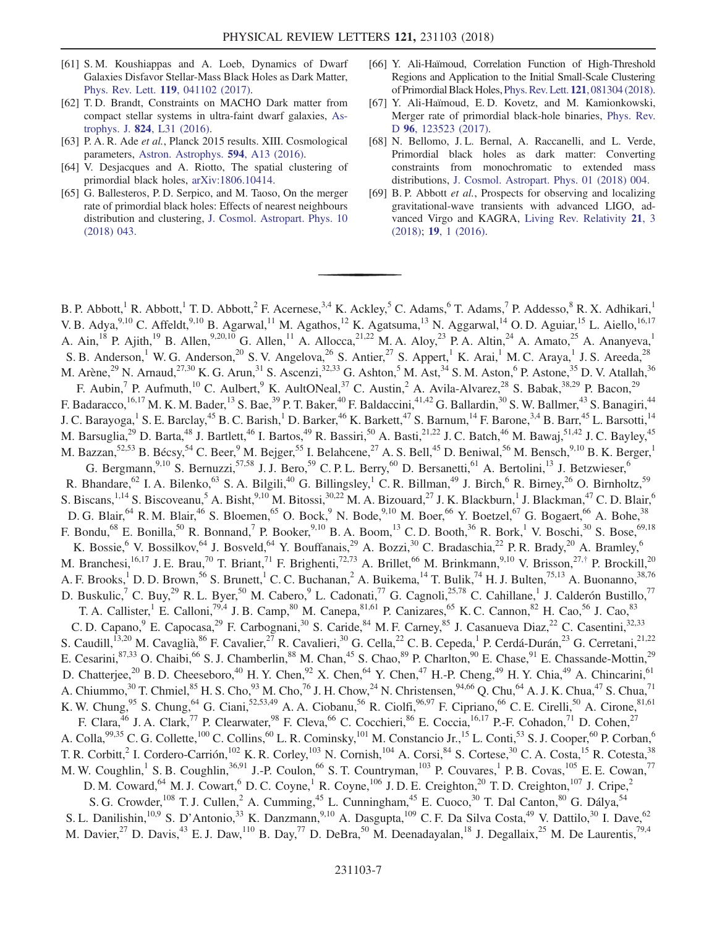- [61] S. M. Koushiappas and A. Loeb, Dynamics of Dwarf Galaxies Disfavor Stellar-Mass Black Holes as Dark Matter, Phys. Rev. Lett. 119[, 041102 \(2017\).](https://doi.org/10.1103/PhysRevLett.119.041102)
- [62] T. D. Brandt, Constraints on MACHO Dark matter from compact stellar systems in ultra-faint dwarf galaxies, [As](https://doi.org/10.3847/2041-8205/824/2/L31)trophys. J. 824[, L31 \(2016\).](https://doi.org/10.3847/2041-8205/824/2/L31)
- <span id="page-7-4"></span>[63] P. A. R. Ade et al., Planck 2015 results. XIII. Cosmological parameters, [Astron. Astrophys.](https://doi.org/10.1051/0004-6361/201525830) 594, A13 (2016).
- <span id="page-7-0"></span>[64] V. Desjacques and A. Riotto, The spatial clustering of primordial black holes, [arXiv:1806.10414.](http://arXiv.org/abs/1806.10414)
- [65] G. Ballesteros, P. D. Serpico, and M. Taoso, On the merger rate of primordial black holes: Effects of nearest neighbours distribution and clustering, [J. Cosmol. Astropart. Phys. 10](https://doi.org/10.1088/1475-7516/2018/10/043) [\(2018\) 043.](https://doi.org/10.1088/1475-7516/2018/10/043)
- [66] Y. Ali-Haïmoud, Correlation Function of High-Threshold Regions and Application to the Initial Small-Scale Clustering of Primordial Black Holes, Phys. Rev. Lett. 121[, 081304 \(2018\).](https://doi.org/10.1103/PhysRevLett.121.081304)
- <span id="page-7-1"></span>[67] Y. Ali-Haïmoud, E. D. Kovetz, and M. Kamionkowski, Merger rate of primordial black-hole binaries, [Phys. Rev.](https://doi.org/10.1103/PhysRevD.96.123523) D 96[, 123523 \(2017\)](https://doi.org/10.1103/PhysRevD.96.123523).
- <span id="page-7-2"></span>[68] N. Bellomo, J.L. Bernal, A. Raccanelli, and L. Verde, Primordial black holes as dark matter: Converting constraints from monochromatic to extended mass distributions, [J. Cosmol. Astropart. Phys. 01 \(2018\) 004.](https://doi.org/10.1088/1475-7516/2018/01/004)
- <span id="page-7-3"></span>[69] B. P. Abbott et al., Prospects for observing and localizing gravitational-wave transients with advanced LIGO, advanced Virgo and KAGRA, [Living Rev. Relativity](https://doi.org/10.1007/s41114-018-0012-9) 21, 3 [\(2018\);](https://doi.org/10.1007/s41114-018-0012-9) 19[, 1 \(2016\)](https://doi.org/10.1007/lrr-2016-1).

<span id="page-7-5"></span>B. P. Abbott,<sup>1</sup> R. Abbott,<sup>1</sup> T. D. Abbott,<sup>2</sup> F. Acernese,<sup>3,4</sup> K. Ackley,<sup>5</sup> C. Adams,<sup>6</sup> T. Adams,<sup>7</sup> P. Addesso,<sup>8</sup> R. X. Adhikari,<sup>1</sup> V. B. Adya,  $9,10$  C. Affeldt,  $9,10$  B. Agarwal,  $^{11}$  M. Agathos,  $^{12}$  K. Agatsuma,  $^{13}$  N. Aggarwal,  $^{14}$  O. D. Aguiar,  $^{15}$  L. Aiello,  $^{16,17}$ A. Ain,<sup>18</sup> P. Ajith,<sup>19</sup> B. Allen,<sup>9,20,10</sup> G. Allen,<sup>11</sup> A. Allocca,<sup>21,22</sup> M. A. Aloy,<sup>23</sup> P. A. Altin,<sup>24</sup> A. Amato,<sup>25</sup> A. Ananyeva,<sup>1</sup> S. B. Anderson,<sup>1</sup> W. G. Anderson,<sup>20</sup> S. V. Angelova,<sup>26</sup> S. Antier,<sup>27</sup> S. Appert,<sup>1</sup> K. Arai,<sup>1</sup> M. C. Araya,<sup>1</sup> J. S. Areeda,<sup>28</sup> M. Arène,<sup>29</sup> N. Arnaud,<sup>27,30</sup> K. G. Arun,<sup>31</sup> S. Ascenzi,<sup>32,33</sup> G. Ashton,<sup>5</sup> M. Ast,<sup>34</sup> S. M. Aston,<sup>6</sup> P. Astone,<sup>35</sup> D. V. Atallah,<sup>36</sup> F. Aubin,<sup>7</sup> P. Aufmuth,<sup>10</sup> C. Aulbert,<sup>9</sup> K. AultONeal,<sup>37</sup> C. Austin,<sup>2</sup> A. Avila-Alvarez,<sup>28</sup> S. Babak,<sup>38,29</sup> P. Bacon,<sup>29</sup> F. Badaracco,<sup>16,17</sup> M. K. M. Bader,<sup>13</sup> S. Bae,<sup>39</sup> P. T. Baker,<sup>40</sup> F. Baldaccini,<sup>41,42</sup> G. Ballardin,<sup>30</sup> S. W. Ballmer,<sup>43</sup> S. Banagiri,<sup>44</sup> J. C. Barayoga,<sup>1</sup> S. E. Barclay,<sup>45</sup> B. C. Barish,<sup>1</sup> D. Barker,<sup>46</sup> K. Barkett,<sup>47</sup> S. Barnum,<sup>14</sup> F. Barone,<sup>3,4</sup> B. Barr,<sup>45</sup> L. Barsotti,<sup>14</sup> M. Barsuglia,<sup>29</sup> D. Barta,<sup>48</sup> J. Bartlett,<sup>46</sup> I. Bartos,<sup>49</sup> R. Bassiri,<sup>50</sup> A. Basti,<sup>21,22</sup> J. C. Batch,<sup>46</sup> M. Bawaj,<sup>51,42</sup> J. C. Bayley,<sup>45</sup> M. Bazzan,<sup>52,53</sup> B. Bécsy,<sup>54</sup> C. Beer,<sup>9</sup> M. Bejger,<sup>55</sup> I. Belahcene,<sup>27</sup> A. S. Bell,<sup>45</sup> D. Beniwal,<sup>56</sup> M. Bensch,<sup>9,10</sup> B. K. Berger,<sup>1</sup> G. Bergmann,<sup>9,10</sup> S. Bernuzzi,<sup>57,58</sup> J. J. Bero,<sup>59</sup> C. P. L. Berry,<sup>60</sup> D. Bersanetti,<sup>61</sup> A. Bertolini,<sup>13</sup> J. Betzwieser,<sup>6</sup> R. Bhandare,<sup>62</sup> I. A. Bilenko,<sup>63</sup> S. A. Bilgili,<sup>40</sup> G. Billingsley,<sup>1</sup> C. R. Billman,<sup>49</sup> J. Birch,<sup>6</sup> R. Birney,<sup>26</sup> O. Birnholtz,<sup>59</sup> S. Biscans,<sup>1,14</sup> S. Biscoveanu,<sup>5</sup> A. Bisht,<sup>9,10</sup> M. Bitossi,<sup>30,22</sup> M. A. Bizouard,<sup>27</sup> J. K. Blackburn,<sup>1</sup> J. Blackman,<sup>47</sup> C. D. Blair,<sup>6</sup> D. G. Blair, <sup>64</sup> R. M. Blair, <sup>46</sup> S. Bloemen, <sup>65</sup> O. Bock, <sup>9</sup> N. Bode, <sup>9,10</sup> M. Boer, <sup>66</sup> Y. Boetzel, <sup>67</sup> G. Bogaert, <sup>66</sup> A. Bohe, <sup>38</sup> F. Bondu,<sup>68</sup> E. Bonilla,<sup>50</sup> R. Bonnand,<sup>7</sup> P. Booker,<sup>9,10</sup> B. A. Boom,<sup>13</sup> C. D. Booth,<sup>36</sup> R. Bork,<sup>1</sup> V. Boschi,<sup>30</sup> S. Bose,<sup>69,18</sup> K. Bossie,<sup>6</sup> V. Bossilkov,<sup>64</sup> J. Bosveld,<sup>64</sup> Y. Bouffanais,<sup>29</sup> A. Bozzi,<sup>30</sup> C. Bradaschia,<sup>22</sup> P. R. Brady,<sup>20</sup> A. Bramley,<sup>6</sup> M. Branchesi,<sup>16,17</sup> J. E. Brau,<sup>70</sup> T. Briant,<sup>71</sup> F. Brighenti,<sup>72,73</sup> A. Brillet,<sup>66</sup> M. Brinkmann,<sup>9,10</sup> V. Brisson,<sup>27,[†](#page-13-0)</sup> P. Brockill,<sup>20</sup> A. F. Brooks,<sup>1</sup> D. D. Brown,<sup>56</sup> S. Brunett,<sup>1</sup> C. C. Buchanan,<sup>2</sup> A. Buikema,<sup>14</sup> T. Bulik,<sup>74</sup> H. J. Bulten,<sup>75,13</sup> A. Buonanno,<sup>38,76</sup> D. Buskulic,<sup>7</sup> C. Buy,<sup>29</sup> R. L. Byer,<sup>50</sup> M. Cabero,<sup>9</sup> L. Cadonati,<sup>77</sup> G. Cagnoli,<sup>25,78</sup> C. Cahillane,<sup>1</sup> J. Calderón Bustillo,<sup>77</sup> T. A. Callister,<sup>1</sup> E. Calloni,<sup>79,4</sup> J. B. Camp,<sup>80</sup> M. Canepa,<sup>81,61</sup> P. Canizares,<sup>65</sup> K. C. Cannon,<sup>82</sup> H. Cao,<sup>56</sup> J. Cao,<sup>83</sup> C. D. Capano, <sup>9</sup> E. Capocasa, <sup>29</sup> F. Carbognani, <sup>30</sup> S. Caride, <sup>84</sup> M. F. Carney, <sup>85</sup> J. Casanueva Diaz, <sup>22</sup> C. Casentini, <sup>32,33</sup> S. Caudill,<sup>13,20</sup> M. Cavaglià,<sup>86</sup> F. Cavalier,<sup>27</sup> R. Cavalieri,<sup>30</sup> G. Cella,<sup>22</sup> C. B. Cepeda,<sup>1</sup> P. Cerdá-Durán,<sup>23</sup> G. Cerretani,<sup>21,22</sup> E. Cesarini,  $87,33$  O. Chaibi,  $66$  S. J. Chamberlin,  $88$  M. Chan,  $45$  S. Chao,  $89$  P. Charlton,  $90$  E. Chase,  $91$  E. Chassande-Mottin,  $29$ D. Chatterjee,<sup>20</sup> B. D. Cheeseboro,<sup>40</sup> H. Y. Chen,<sup>92</sup> X. Chen,<sup>64</sup> Y. Chen,<sup>47</sup> H.-P. Cheng,<sup>49</sup> H. Y. Chia,<sup>49</sup> A. Chincarini,<sup>61</sup> A. Chiummo,<sup>30</sup> T. Chmiel,<sup>85</sup> H. S. Cho,<sup>93</sup> M. Cho,<sup>76</sup> J. H. Chow,<sup>24</sup> N. Christensen,<sup>94,66</sup> Q. Chu,<sup>64</sup> A. J. K. Chua,<sup>47</sup> S. Chua,<sup>71</sup> K. W. Chung, <sup>95</sup> S. Chung, <sup>64</sup> G. Ciani, <sup>52,53,49</sup> A. A. Ciobanu, <sup>56</sup> R. Ciolfi, <sup>96,97</sup> F. Cipriano, <sup>66</sup> C. E. Cirelli, <sup>50</sup> A. Cirone, <sup>81,61</sup> F. Clara,<sup>46</sup> J. A. Clark,<sup>77</sup> P. Clearwater,<sup>98</sup> F. Cleva,<sup>66</sup> C. Cocchieri,<sup>86</sup> E. Coccia,<sup>16,17</sup> P.-F. Cohadon,<sup>71</sup> D. Cohen,<sup>27</sup> A. Colla,<sup>99,35</sup> C. G. Collette,<sup>100</sup> C. Collins,<sup>60</sup> L. R. Cominsky,<sup>101</sup> M. Constancio Jr.,<sup>15</sup> L. Conti,<sup>53</sup> S. J. Cooper,<sup>60</sup> P. Corban,<sup>6</sup> T. R. Corbitt,<sup>2</sup> I. Cordero-Carrión,<sup>102</sup> K. R. Corley,<sup>103</sup> N. Cornish,<sup>104</sup> A. Corsi,<sup>84</sup> S. Cortese,<sup>30</sup> C. A. Costa,<sup>15</sup> R. Cotesta,<sup>38</sup> M. W. Coughlin,<sup>1</sup> S. B. Coughlin,<sup>36,91</sup> J.-P. Coulon,<sup>66</sup> S. T. Countryman,<sup>103</sup> P. Couvares,<sup>1</sup> P. B. Covas,<sup>105</sup> E. E. Cowan,<sup>77</sup> D. M. Coward,<sup>64</sup> M. J. Cowart,<sup>6</sup> D. C. Coyne,<sup>1</sup> R. Coyne,<sup>106</sup> J. D. E. Creighton,<sup>20</sup> T. D. Creighton,<sup>107</sup> J. Cripe,<sup>2</sup> S. G. Crowder, <sup>108</sup> T. J. Cullen, <sup>2</sup> A. Cumming, <sup>45</sup> L. Cunningham, <sup>45</sup> E. Cuoco, <sup>30</sup> T. Dal Canton, <sup>80</sup> G. Dálya, <sup>54</sup> S. L. Danilishin,<sup>10,9</sup> S. D'Antonio,<sup>33</sup> K. Danzmann,<sup>9,10</sup> A. Dasgupta,<sup>109</sup> C. F. Da Silva Costa,<sup>49</sup> V. Dattilo,<sup>30</sup> I. Dave,<sup>62</sup> M. Davier,<sup>27</sup> D. Davis,<sup>43</sup> E. J. Daw,<sup>110</sup> B. Day,<sup>77</sup> D. DeBra,<sup>50</sup> M. Deenadayalan,<sup>18</sup> J. Degallaix,<sup>25</sup> M. De Laurentis,<sup>79,4</sup>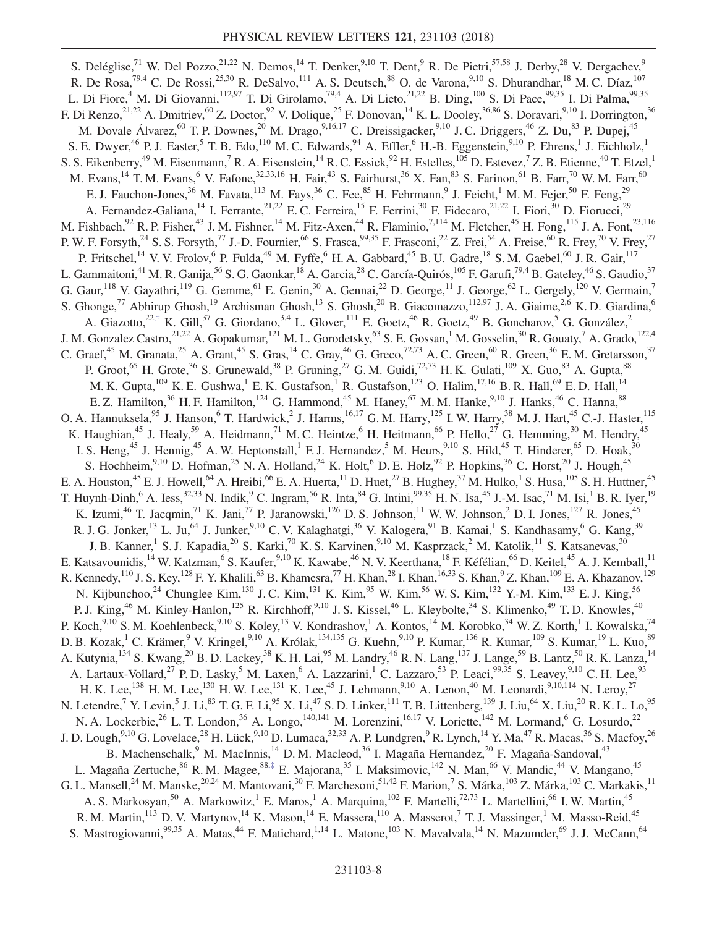<span id="page-8-0"></span>S. Deléglise,<sup>71</sup> W. Del Pozzo,<sup>21,22</sup> N. Demos,<sup>14</sup> T. Denker,<sup>9,10</sup> T. Dent,<sup>9</sup> R. De Pietri,<sup>57,58</sup> J. Derby,<sup>28</sup> V. Dergachev,<sup>9</sup> R. De Rosa,<sup>79,4</sup> C. De Rossi,<sup>25,30</sup> R. DeSalvo,<sup>111</sup> A. S. Deutsch,<sup>88</sup> O. de Varona,<sup>9,10</sup> S. Dhurandhar,<sup>18</sup> M. C. Díaz,<sup>107</sup> L. Di Fiore,<sup>4</sup> M. Di Giovanni,<sup>112,97</sup> T. Di Girolamo,<sup>79,4</sup> A. Di Lieto,<sup>21,22</sup> B. Ding,<sup>100</sup> S. Di Pace,<sup>99,35</sup> I. Di Palma,<sup>99,35</sup> F. Di Renzo,  $^{21,22}$  A. Dmitriev,  $^{60}$  Z. Doctor,  $^{92}$  V. Dolique,  $^{25}$  F. Donovan,  $^{14}$  K. L. Dooley,  $^{36,86}$  S. Doravari,  $^{9,10}$  I. Dorrington,  $^{36}$ M. Dovale Álvarez,<sup>60</sup> T. P. Downes,<sup>20</sup> M. Drago,<sup>9,16,17</sup> C. Dreissigacker,<sup>9,10</sup> J. C. Driggers,<sup>46</sup> Z. Du,<sup>83</sup> P. Dupej,<sup>45</sup> S. E. Dwyer,<sup>46</sup> P. J. Easter,<sup>5</sup> T. B. Edo,<sup>110</sup> M. C. Edwards,<sup>94</sup> A. Effler,<sup>6</sup> H.-B. Eggenstein,<sup>9,10</sup> P. Ehrens,<sup>1</sup> J. Eichholz,<sup>1</sup> S. S. Eikenberry,<sup>49</sup> M. Eisenmann,<sup>7</sup> R. A. Eisenstein,<sup>14</sup> R. C. Essick,<sup>92</sup> H. Estelles,<sup>105</sup> D. Estevez,<sup>7</sup> Z. B. Etienne,<sup>40</sup> T. Etzel,<sup>1</sup> M. Evans,<sup>14</sup> T. M. Evans,<sup>6</sup> V. Fafone,<sup>32,33,16</sup> H. Fair,<sup>43</sup> S. Fairhurst,<sup>36</sup> X. Fan,<sup>83</sup> S. Farinon,<sup>61</sup> B. Farr,<sup>70</sup> W. M. Farr,<sup>60</sup> E. J. Fauchon-Jones,  $36$  M. Favata,  $113$  M. Fays,  $36$  C. Fee,  $85$  H. Fehrmann,  $9$  J. Feicht, M. M. Fejer,  $50$  F. Feng,  $29$ A. Fernandez-Galiana,<sup>14</sup> I. Ferrante,<sup>21,22</sup> E. C. Ferreira,<sup>15</sup> F. Ferrini,<sup>30</sup> F. Fidecaro,<sup>21,22</sup> I. Fiori,<sup>30</sup> D. Fiorucci,<sup>29</sup> M. Fishbach,  $92$  R. P. Fisher,  $43$  J. M. Fishner,  $^{14}$  M. Fitz-Axen,  $^{44}$  R. Flaminio,  $^{7,114}$  M. Fletcher,  $^{45}$  H. Fong,  $^{115}$  J. A. Font,  $^{23,116}$ P. W. F. Forsyth,<sup>24</sup> S. S. Forsyth,<sup>77</sup> J.-D. Fournier,<sup>66</sup> S. Frasca,<sup>99,35</sup> F. Frasconi,<sup>22</sup> Z. Frei,<sup>54</sup> A. Freise,<sup>60</sup> R. Frey,<sup>70</sup> V. Frey,<sup>27</sup> P. Fritschel,<sup>14</sup> V. V. Frolov,<sup>6</sup> P. Fulda,<sup>49</sup> M. Fyffe,<sup>6</sup> H. A. Gabbard,<sup>45</sup> B. U. Gadre,<sup>18</sup> S. M. Gaebel,<sup>60</sup> J. R. Gair,<sup>117</sup> L. Gammaitoni,<sup>41</sup> M. R. Ganija,<sup>56</sup> S. G. Gaonkar,<sup>18</sup> A. Garcia,<sup>28</sup> C. García-Quirós,<sup>105</sup> F. Garufi,<sup>79,4</sup> B. Gateley,<sup>46</sup> S. Gaudio,<sup>37</sup> G. Gaur,  $^{118}$  V. Gayathri,  $^{119}$  G. Gemme,  $^{61}$  E. Genin,  $^{30}$  A. Gennai,  $^{22}$  D. George,  $^{11}$  J. George,  $^{62}$  L. Gergely,  $^{120}$  V. Germain,  $^{7}$ S. Ghonge,<sup>77</sup> Abhirup Ghosh,<sup>19</sup> Archisman Ghosh,<sup>13</sup> S. Ghosh,<sup>20</sup> B. Giacomazzo,<sup>112,97</sup> J. A. Giaime,<sup>2,6</sup> K. D. Giardina,<sup>6</sup> A. Giazotto,<sup>22,[†](#page-13-0)</sup> K. Gill,<sup>37</sup> G. Giordano,<sup>3,4</sup> L. Glover,<sup>111</sup> E. Goetz,<sup>46</sup> R. Goetz,<sup>49</sup> B. Goncharov,<sup>5</sup> G. González,<sup>2</sup> J. M. Gonzalez Castro,<sup>21,22</sup> A. Gopakumar,<sup>121</sup> M. L. Gorodetsky,<sup>63</sup> S. E. Gossan,<sup>1</sup> M. Gosselin,<sup>30</sup> R. Gouaty,<sup>7</sup> A. Grado,<sup>122,4</sup> C. Graef,<sup>45</sup> M. Granata,<sup>25</sup> A. Grant,<sup>45</sup> S. Gras,<sup>14</sup> C. Gray,<sup>46</sup> G. Greco,<sup>72,73</sup> A. C. Green,<sup>60</sup> R. Green,<sup>36</sup> E. M. Gretarsson,<sup>37</sup> P. Groot,<sup>65</sup> H. Grote,<sup>36</sup> S. Grunewald,<sup>38</sup> P. Gruning,<sup>27</sup> G. M. Guidi,<sup>72,73</sup> H. K. Gulati,<sup>109</sup> X. Guo,<sup>83</sup> A. Gupta,<sup>88</sup> M. K. Gupta, $^{109}$  K. E. Gushwa, $^1$  E. K. Gustafson, $^1$  R. Gustafson, $^{123}$  O. Halim, $^{17,16}$  B. R. Hall, $^{69}$  E. D. Hall, $^{14}$ E. Z. Hamilton,<sup>36</sup> H. F. Hamilton,<sup>124</sup> G. Hammond,<sup>45</sup> M. Haney,<sup>67</sup> M. M. Hanke,<sup>9,10</sup> J. Hanks,<sup>46</sup> C. Hanna,<sup>88</sup> O. A. Hannuksela,  $95$  J. Hanson,  $6$  T. Hardwick,  $2$  J. Harms,  $16,17$  G. M. Harry,  $125$  I. W. Harry,  $38$  M. J. Hart,  $45$  C.-J. Haster,  $115$ K. Haughian,<sup>45</sup> J. Healy,<sup>59</sup> A. Heidmann,<sup>71</sup> M. C. Heintze,<sup>6</sup> H. Heitmann,<sup>66</sup> P. Hello,<sup>27</sup> G. Hemming,<sup>30</sup> M. Hendry,<sup>45</sup> I. S. Heng,<sup>45</sup> J. Hennig,<sup>45</sup> A. W. Heptonstall,<sup>1</sup> F. J. Hernandez,<sup>5</sup> M. Heurs,<sup>9,10</sup> S. Hild,<sup>45</sup> T. Hinderer,<sup>65</sup> D. Hoak,<sup>30</sup> S. Hochheim,<sup>9,10</sup> D. Hofman,<sup>25</sup> N. A. Holland,<sup>24</sup> K. Holt,<sup>6</sup> D. E. Holz,<sup>92</sup> P. Hopkins,<sup>36</sup> C. Horst,<sup>20</sup> J. Hough,<sup>45</sup> E. A. Houston,<sup>45</sup> E. J. Howell,<sup>64</sup> A. Hreibi,<sup>66</sup> E. A. Huerta,<sup>11</sup> D. Huet,<sup>27</sup> B. Hughey,<sup>37</sup> M. Hulko,<sup>1</sup> S. Husa,<sup>105</sup> S. H. Huttner,<sup>45</sup> T. Huynh-Dinh,<sup>6</sup> A. Iess,<sup>32,33</sup> N. Indik,<sup>9</sup> C. Ingram,<sup>56</sup> R. Inta,<sup>84</sup> G. Intini,<sup>99,35</sup> H. N. Isa,<sup>45</sup> J.-M. Isac,<sup>71</sup> M. Isi,<sup>1</sup> B. R. Iyer,<sup>19</sup> K. Izumi,<sup>46</sup> T. Jacqmin,<sup>71</sup> K. Jani,<sup>77</sup> P. Jaranowski,<sup>126</sup> D. S. Johnson,<sup>11</sup> W. W. Johnson,<sup>2</sup> D. I. Jones,<sup>127</sup> R. Jones,<sup>45</sup> R. J. G. Jonker,<sup>13</sup> L. Ju,<sup>64</sup> J. Junker,<sup>9,10</sup> C. V. Kalaghatgi,<sup>36</sup> V. Kalogera,<sup>91</sup> B. Kamai,<sup>1</sup> S. Kandhasamy,<sup>6</sup> G. Kang,<sup>39</sup> J. B. Kanner,<sup>1</sup> S. J. Kapadia,<sup>20</sup> S. Karki,<sup>70</sup> K. S. Karvinen,<sup>9,10</sup> M. Kasprzack,<sup>2</sup> M. Katolik,<sup>11</sup> S. Katsanevas,<sup>30</sup> E. Katsavounidis,<sup>14</sup> W. Katzman,<sup>6</sup> S. Kaufer,<sup>9,10</sup> K. Kawabe,<sup>46</sup> N. V. Keerthana,<sup>18</sup> F. Kéfélian,<sup>66</sup> D. Keitel,<sup>45</sup> A. J. Kemball,<sup>11</sup> R. Kennedy,<sup>110</sup> J. S. Key,<sup>128</sup> F. Y. Khalili,<sup>63</sup> B. Khamesra,<sup>77</sup> H. Khan,<sup>28</sup> I. Khan,<sup>16,33</sup> S. Khan,<sup>9</sup> Z. Khan,<sup>109</sup> E. A. Khazanov,<sup>129</sup> N. Kijbunchoo,<sup>24</sup> Chunglee Kim,<sup>130</sup> J. C. Kim,<sup>131</sup> K. Kim,<sup>95</sup> W. Kim,<sup>56</sup> W. S. Kim,<sup>132</sup> Y.-M. Kim,<sup>133</sup> E. J. King,<sup>56</sup> P. J. King,<sup>46</sup> M. Kinley-Hanlon,<sup>125</sup> R. Kirchhoff,<sup>9,10</sup> J. S. Kissel,<sup>46</sup> L. Kleybolte,<sup>34</sup> S. Klimenko,<sup>49</sup> T. D. Knowles,<sup>40</sup> P. Koch,<sup>9,10</sup> S. M. Koehlenbeck,<sup>9,10</sup> S. Koley,<sup>13</sup> V. Kondrashov,<sup>1</sup> A. Kontos,<sup>14</sup> M. Korobko,<sup>34</sup> W. Z. Korth,<sup>1</sup> I. Kowalska,<sup>74</sup> D. B. Kozak,<sup>1</sup> C. Krämer,<sup>9</sup> V. Kringel,<sup>9,10</sup> A. Królak,<sup>134,135</sup> G. Kuehn,<sup>9,10</sup> P. Kumar,<sup>136</sup> R. Kumar,<sup>109</sup> S. Kumar,<sup>19</sup> L. Kuo,<sup>89</sup> A. Kutynia, <sup>134</sup> S. Kwang, <sup>20</sup> B. D. Lackey, <sup>38</sup> K. H. Lai, <sup>95</sup> M. Landry, <sup>46</sup> R. N. Lang, <sup>137</sup> J. Lange, <sup>59</sup> B. Lantz, <sup>50</sup> R. K. Lanza, <sup>14</sup> A. Lartaux-Vollard,<sup>27</sup> P. D. Lasky,<sup>5</sup> M. Laxen,<sup>6</sup> A. Lazzarini,<sup>1</sup> C. Lazzaro,<sup>53</sup> P. Leaci,<sup>99,35</sup> S. Leavey,<sup>9,10</sup> C. H. Lee,<sup>93</sup> H. K. Lee,<sup>138</sup> H. M. Lee,<sup>130</sup> H. W. Lee,<sup>131</sup> K. Lee,<sup>45</sup> J. Lehmann,<sup>9,10</sup> A. Lenon,<sup>40</sup> M. Leonardi,<sup>9,10,114</sup> N. Leroy,<sup>27</sup> N. Letendre,<sup>7</sup> Y. Levin,<sup>5</sup> J. Li,<sup>83</sup> T. G. F. Li,<sup>95</sup> X. Li,<sup>47</sup> S. D. Linker,<sup>111</sup> T. B. Littenberg,<sup>139</sup> J. Liu,<sup>64</sup> X. Liu,<sup>20</sup> R. K. L. Lo,<sup>95</sup> N. A. Lockerbie,<sup>26</sup> L. T. London,<sup>36</sup> A. Longo,<sup>140,141</sup> M. Lorenzini,<sup>16,17</sup> V. Loriette,<sup>142</sup> M. Lormand,<sup>6</sup> G. Losurdo,<sup>22</sup> J. D. Lough,<sup>9,10</sup> G. Lovelace,<sup>28</sup> H. Lück,<sup>9,10</sup> D. Lumaca,<sup>32,33</sup> A. P. Lundgren,<sup>9</sup> R. Lynch,<sup>14</sup> Y. Ma,<sup>47</sup> R. Macas,<sup>36</sup> S. Macfoy,<sup>26</sup> B. Machenschalk,<sup>9</sup> M. MacInnis,<sup>14</sup> D. M. Macleod,<sup>36</sup> I. Magaña Hernandez,<sup>20</sup> F. Magaña-Sandoval,<sup>43</sup> L. Magaña Zertuche, <sup>86</sup> R. M. Magee, <sup>88,[‡](#page-13-1)</sup> E. Majorana, <sup>35</sup> I. Maksimovic, <sup>142</sup> N. Man, <sup>66</sup> V. Mandic, <sup>44</sup> V. Mangano, <sup>45</sup> G. L. Mansell,<sup>24</sup> M. Manske,<sup>20,24</sup> M. Mantovani,<sup>30</sup> F. Marchesoni,<sup>51,42</sup> F. Marion,<sup>7</sup> S. Márka,<sup>103</sup> Z. Márka,<sup>103</sup> C. Markakis,<sup>11</sup> A. S. Markosyan,<sup>50</sup> A. Markowitz,<sup>1</sup> E. Maros,<sup>1</sup> A. Marquina,<sup>102</sup> F. Martelli,<sup>72,73</sup> L. Martellini,<sup>66</sup> I. W. Martin,<sup>45</sup> R. M. Martin,<sup>113</sup> D. V. Martynov,<sup>14</sup> K. Mason,<sup>14</sup> E. Massera,<sup>110</sup> A. Masserot,<sup>7</sup> T. J. Massinger,<sup>1</sup> M. Masso-Reid,<sup>45</sup> S. Mastrogiovanni,<sup>99,35</sup> A. Matas,<sup>44</sup> F. Matichard,<sup>1,14</sup> L. Matone,<sup>103</sup> N. Mavalvala,<sup>14</sup> N. Mazumder,<sup>69</sup> J. J. McCann,<sup>64</sup>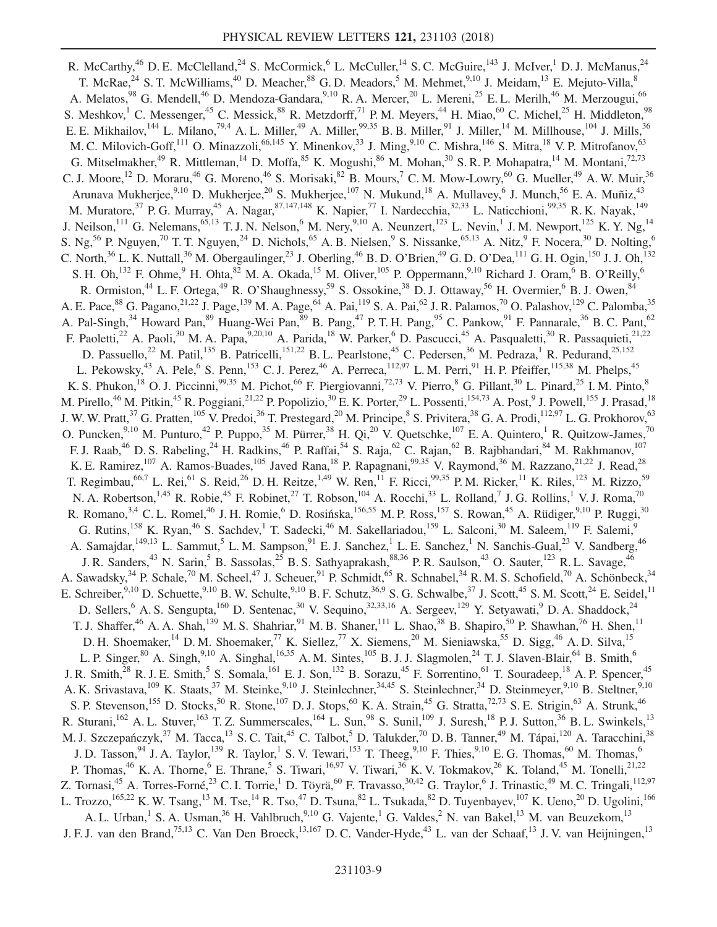R. McCarthy,<sup>46</sup> D. E. McClelland,<sup>24</sup> S. McCormick,<sup>6</sup> L. McCuller,<sup>14</sup> S. C. McGuire,<sup>143</sup> J. McIver,<sup>1</sup> D. J. McManus,<sup>24</sup> T. McRae,<sup>24</sup> S. T. McWilliams,<sup>40</sup> D. Meacher,<sup>88</sup> G. D. Meadors,<sup>5</sup> M. Mehmet,<sup>9,10</sup> J. Meidam,<sup>13</sup> E. Mejuto-Villa,<sup>8</sup> A. Melatos,<sup>98</sup> G. Mendell,<sup>46</sup> D. Mendoza-Gandara,<sup>9,10</sup> R. A. Mercer,<sup>20</sup> L. Mereni,<sup>25</sup> E. L. Merilh,<sup>46</sup> M. Merzougui,<sup>66</sup> S. Meshkov,<sup>1</sup> C. Messenger,<sup>45</sup> C. Messick,<sup>88</sup> R. Metzdorff,<sup>71</sup> P. M. Meyers,<sup>44</sup> H. Miao,<sup>60</sup> C. Michel,<sup>25</sup> H. Middleton,<sup>98</sup> E. E. Mikhailov,  $^{144}$  L. Milano,  $^{79,4}$  A. L. Miller,  $^{49}$  A. Miller,  $^{99,35}$  B. B. Miller,  $^{91}$  J. Miller,  $^{14}$  M. Millhouse,  $^{104}$  J. Mills,  $^{36}$ M. C. Milovich-Goff, <sup>111</sup> O. Minazzoli, <sup>66,145</sup> Y. Minenkov, <sup>33</sup> J. Ming, <sup>9,10</sup> C. Mishra, <sup>146</sup> S. Mitra, <sup>18</sup> V. P. Mitrofanov, <sup>63</sup> G. Mitselmakher,<sup>49</sup> R. Mittleman,<sup>14</sup> D. Moffa,<sup>85</sup> K. Mogushi,<sup>86</sup> M. Mohan,<sup>30</sup> S. R. P. Mohapatra,<sup>14</sup> M. Montani,<sup>72,73</sup> C. J. Moore,<sup>12</sup> D. Moraru,<sup>46</sup> G. Moreno,<sup>46</sup> S. Morisaki,<sup>82</sup> B. Mours,<sup>7</sup> C. M. Mow-Lowry,<sup>60</sup> G. Mueller,<sup>49</sup> A. W. Muir,<sup>36</sup> Arunava Mukherjee,<sup>9,10</sup> D. Mukherjee,<sup>20</sup> S. Mukherjee,<sup>107</sup> N. Mukund,<sup>18</sup> A. Mullavey,<sup>6</sup> J. Munch,<sup>56</sup> E. A. Muñiz,<sup>43</sup> M. Muratore,<sup>37</sup> P. G. Murray,<sup>45</sup> A. Nagar,<sup>87,147,148</sup> K. Napier,<sup>77</sup> I. Nardecchia,<sup>32,33</sup> L. Naticchioni,<sup>99,35</sup> R. K. Nayak,<sup>149</sup> J. Neilson,<sup>111</sup> G. Nelemans,<sup>65,13</sup> T. J. N. Nelson,<sup>6</sup> M. Nery,<sup>9,10</sup> A. Neunzert,<sup>123</sup> L. Nevin,<sup>1</sup> J. M. Newport,<sup>125</sup> K. Y. Ng,<sup>14</sup> S. Ng,<sup>56</sup> P. Nguyen,<sup>70</sup> T. T. Nguyen,<sup>24</sup> D. Nichols,<sup>65</sup> A. B. Nielsen,<sup>9</sup> S. Nissanke,<sup>65,13</sup> A. Nitz,<sup>9</sup> F. Nocera,<sup>30</sup> D. Nolting,<sup>6</sup> C. North,<sup>36</sup> L. K. Nuttall,<sup>36</sup> M. Obergaulinger,<sup>23</sup> J. Oberling,<sup>46</sup> B. D. O'Brien,<sup>49</sup> G. D. O'Dea,<sup>111</sup> G. H. Ogin,<sup>150</sup> J. J. Oh,<sup>132</sup> S. H. Oh,<sup>132</sup> F. Ohme,<sup>9</sup> H. Ohta,<sup>82</sup> M. A. Okada,<sup>15</sup> M. Oliver,<sup>105</sup> P. Oppermann,<sup>9,10</sup> Richard J. Oram,<sup>6</sup> B. O'Reilly,<sup>6</sup> R. Ormiston,<sup>44</sup> L. F. Ortega,<sup>49</sup> R. O'Shaughnessy,<sup>59</sup> S. Ossokine,<sup>38</sup> D. J. Ottaway,<sup>56</sup> H. Overmier,<sup>6</sup> B. J. Owen,<sup>84</sup> A. E. Pace,<sup>88</sup> G. Pagano,<sup>21,22</sup> J. Page,<sup>139</sup> M. A. Page,<sup>64</sup> A. Pai,<sup>119</sup> S. A. Pai,<sup>62</sup> J. R. Palamos,<sup>70</sup> O. Palashov,<sup>129</sup> C. Palomba,<sup>35</sup> A. Pal-Singh,<sup>34</sup> Howard Pan,<sup>89</sup> Huang-Wei Pan,<sup>89</sup> B. Pang,<sup>47</sup> P. T. H. Pang,<sup>95</sup> C. Pankow,<sup>91</sup> F. Pannarale,<sup>36</sup> B. C. Pant,<sup>62</sup> F. Paoletti,<sup>22</sup> A. Paoli,<sup>30</sup> M. A. Papa,<sup>9,20,10</sup> A. Parida,<sup>18</sup> W. Parker,<sup>6</sup> D. Pascucci,<sup>45</sup> A. Pasqualetti,<sup>30</sup> R. Passaquieti,<sup>21,22</sup> D. Passuello,<sup>22</sup> M. Patil,<sup>135</sup> B. Patricelli,<sup>151,22</sup> B. L. Pearlstone,<sup>45</sup> C. Pedersen,<sup>36</sup> M. Pedraza,<sup>1</sup> R. Pedurand,<sup>25,152</sup> L. Pekowsky,<sup>43</sup> A. Pele,<sup>6</sup> S. Penn,<sup>153</sup> C. J. Perez,<sup>46</sup> A. Perreca,<sup>112,97</sup> L. M. Perri,<sup>91</sup> H. P. Pfeiffer,<sup>115,38</sup> M. Phelps,<sup>45</sup> K. S. Phukon,<sup>18</sup> O. J. Piccinni,<sup>99,35</sup> M. Pichot,<sup>66</sup> F. Piergiovanni,<sup>72,73</sup> V. Pierro,<sup>8</sup> G. Pillant,<sup>30</sup> L. Pinard,<sup>25</sup> I. M. Pinto,<sup>8</sup> M. Pirello,<sup>46</sup> M. Pitkin,<sup>45</sup> R. Poggiani,<sup>21,22</sup> P. Popolizio,<sup>30</sup> E. K. Porter,<sup>29</sup> L. Possenti,<sup>154,73</sup> A. Post,<sup>9</sup> J. Powell,<sup>155</sup> J. Prasad,<sup>18</sup> J. W. W. Pratt,<sup>37</sup> G. Pratten,<sup>105</sup> V. Predoi,<sup>36</sup> T. Prestegard,<sup>20</sup> M. Principe,<sup>8</sup> S. Privitera,<sup>38</sup> G. A. Prodi,<sup>112,97</sup> L. G. Prokhorov,<sup>63</sup> O. Puncken, <sup>9,10</sup> M. Punturo, <sup>42</sup> P. Puppo, <sup>35</sup> M. Pürrer, <sup>38</sup> H. Qi, <sup>20</sup> V. Quetschke, <sup>107</sup> E. A. Quintero, <sup>1</sup> R. Quitzow-James, <sup>70</sup> F. J. Raab,<sup>46</sup> D. S. Rabeling,<sup>24</sup> H. Radkins,<sup>46</sup> P. Raffai,<sup>54</sup> S. Raja,<sup>62</sup> C. Rajan,<sup>62</sup> B. Rajbhandari,<sup>84</sup> M. Rakhmanov,<sup>107</sup> K. E. Ramirez,<sup>107</sup> A. Ramos-Buades,<sup>105</sup> Javed Rana,<sup>18</sup> P. Rapagnani,<sup>99,35</sup> V. Raymond,<sup>36</sup> M. Razzano,<sup>21,22</sup> J. Read,<sup>28</sup> T. Regimbau,<sup>66,7</sup> L. Rei,<sup>61</sup> S. Reid,<sup>26</sup> D. H. Reitze,<sup>1,49</sup> W. Ren,<sup>11</sup> F. Ricci,<sup>99,35</sup> P. M. Ricker,<sup>11</sup> K. Riles,<sup>123</sup> M. Rizzo,<sup>59</sup> N. A. Robertson,<sup>1,45</sup> R. Robie,<sup>45</sup> F. Robinet,<sup>27</sup> T. Robson,<sup>104</sup> A. Rocchi,<sup>33</sup> L. Rolland,<sup>7</sup> J. G. Rollins,<sup>1</sup> V. J. Roma,<sup>70</sup> R. Romano,  $3,4$  C. L. Romel,  $46$  J. H. Romie,  $6$  D. Rosińska,  $156,55$  M. P. Ross,  $157$  S. Rowan,  $45$  A. Rüdiger,  $9,10$  P. Ruggi,  $30$ G. Rutins,<sup>158</sup> K. Ryan,<sup>46</sup> S. Sachdev,<sup>1</sup> T. Sadecki,<sup>46</sup> M. Sakellariadou,<sup>159</sup> L. Salconi,<sup>30</sup> M. Saleem,<sup>119</sup> F. Salemi,<sup>9</sup> A. Samajdar,<sup>149,13</sup> L. Sammut,<sup>5</sup> L. M. Sampson,<sup>91</sup> E. J. Sanchez,<sup>1</sup> L. E. Sanchez,<sup>1</sup> N. Sanchis-Gual,<sup>23</sup> V. Sandberg,<sup>46</sup> J. R. Sanders,<sup>43</sup> N. Sarin,<sup>5</sup> B. Sassolas,<sup>25</sup> B. S. Sathyaprakash,<sup>88,36</sup> P. R. Saulson,<sup>43</sup> O. Sauter,<sup>123</sup> R. L. Savage,<sup>46</sup> A. Sawadsky,  $34$  P. Schale,  $70$  M. Scheel,  $47$  J. Scheuer,  $91$  P. Schmidt,  $65$  R. Schnabel,  $34$  R. M. S. Schofield,  $70$  A. Schönbeck,  $34$ E. Schreiber,<sup>9,10</sup> D. Schuette,<sup>9,10</sup> B. W. Schulte,<sup>9,10</sup> B. F. Schutz,<sup>36,9</sup> S. G. Schwalbe,<sup>37</sup> J. Scott,<sup>45</sup> S. M. Scott,<sup>24</sup> E. Seidel,<sup>11</sup> D. Sellers, <sup>6</sup> A. S. Sengupta,<sup>160</sup> D. Sentenac,<sup>30</sup> V. Sequino,<sup>32,33,16</sup> A. Sergeev,<sup>129</sup> Y. Setyawati, <sup>9</sup> D. A. Shaddock,<sup>24</sup> T. J. Shaffer,<sup>46</sup> A. A. Shah,<sup>139</sup> M. S. Shahriar,<sup>91</sup> M. B. Shaner,<sup>111</sup> L. Shao,<sup>38</sup> B. Shapiro,<sup>50</sup> P. Shawhan,<sup>76</sup> H. Shen,<sup>11</sup> D. H. Shoemaker,<sup>14</sup> D. M. Shoemaker,<sup>77</sup> K. Siellez,<sup>77</sup> X. Siemens,<sup>20</sup> M. Sieniawska,<sup>55</sup> D. Sigg,<sup>46</sup> A. D. Silva,<sup>15</sup> L. P. Singer,  $80$  A. Singh,  $9,10$  A. Singhal,  $16,35$  A. M. Sintes,  $105$  B. J. J. Slagmolen,  $24$  T. J. Slaven-Blair,  $64$  B. Smith,  $6$ J. R. Smith,<sup>28</sup> R. J. E. Smith,<sup>5</sup> S. Somala,<sup>161</sup> E. J. Son,<sup>132</sup> B. Sorazu,<sup>45</sup> F. Sorrentino,<sup>61</sup> T. Souradeep,<sup>18</sup> A. P. Spencer,<sup>45</sup> A. K. Srivastava, <sup>109</sup> K. Staats, <sup>37</sup> M. Steinke, <sup>9,10</sup> J. Steinlechner, <sup>34,45</sup> S. Steinlechner, <sup>34</sup> D. Steinmeyer, <sup>9,10</sup> B. Steltner, <sup>9,10</sup> S. P. Stevenson,<sup>155</sup> D. Stocks,<sup>50</sup> R. Stone,<sup>107</sup> D. J. Stops,<sup>60</sup> K. A. Strain,<sup>45</sup> G. Stratta,<sup>72,73</sup> S. E. Strigin,<sup>63</sup> A. Strunk,<sup>46</sup> R. Sturani,<sup>162</sup> A. L. Stuver,<sup>163</sup> T. Z. Summerscales,<sup>164</sup> L. Sun,<sup>98</sup> S. Sunil,<sup>109</sup> J. Suresh,<sup>18</sup> P. J. Sutton,<sup>36</sup> B. L. Swinkels,<sup>13</sup> M. J. Szczepańczyk,<sup>37</sup> M. Tacca,<sup>13</sup> S. C. Tait,<sup>45</sup> C. Talbot,<sup>5</sup> D. Talukder,<sup>70</sup> D. B. Tanner,<sup>49</sup> M. Tápai,<sup>120</sup> A. Taracchini,<sup>38</sup> J. D. Tasson,<sup>94</sup> J. A. Taylor,<sup>139</sup> R. Taylor,<sup>1</sup> S. V. Tewari,<sup>153</sup> T. Theeg,<sup>9,10</sup> F. Thies,<sup>9,10</sup> E. G. Thomas,<sup>60</sup> M. Thomas,<sup>6</sup> P. Thomas,<sup>46</sup> K. A. Thorne,<sup>6</sup> E. Thrane,<sup>5</sup> S. Tiwari,<sup>16,97</sup> V. Tiwari,<sup>36</sup> K. V. Tokmakov,<sup>26</sup> K. Toland,<sup>45</sup> M. Tonelli,<sup>21,22</sup> Z. Tornasi,<sup>45</sup> A. Torres-Forné,<sup>23</sup> C. I. Torrie,<sup>1</sup> D. Töyrä,<sup>60</sup> F. Travasso,<sup>30,42</sup> G. Traylor,<sup>6</sup> J. Trinastic,<sup>49</sup> M. C. Tringali,<sup>112,97</sup> L. Trozzo,  $^{165,22}$  K. W. Tsang,  $^{13}$  M. Tse,  $^{14}$  R. Tso,  $^{47}$  D. Tsuna,  $^{82}$  L. Tsukada,  $^{82}$  D. Tuyenbayev,  $^{107}$  K. Ueno,  $^{20}$  D. Ugolini,  $^{166}$ A. L. Urban,<sup>1</sup> S. A. Usman,<sup>36</sup> H. Vahlbruch,<sup>9,10</sup> G. Vajente,<sup>1</sup> G. Valdes,<sup>2</sup> N. van Bakel,<sup>13</sup> M. van Beuzekom,<sup>13</sup> J. F. J. van den Brand,<sup>75,13</sup> C. Van Den Broeck,<sup>13,167</sup> D. C. Vander-Hyde,<sup>43</sup> L. van der Schaaf,<sup>13</sup> J. V. van Heijningen,<sup>13</sup>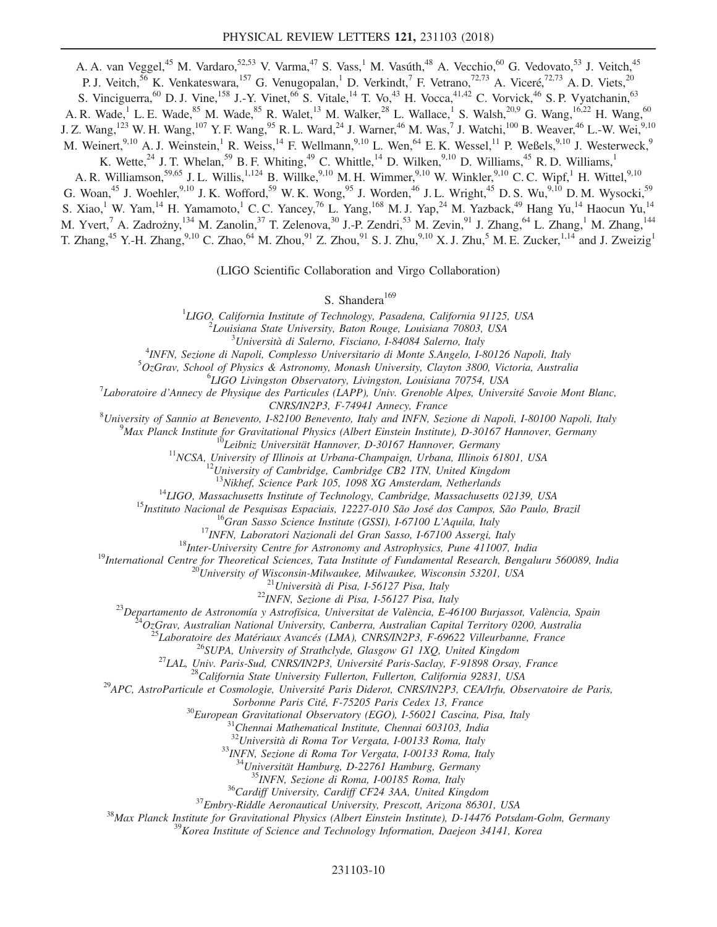A. A. van Veggel,<sup>45</sup> M. Vardaro,<sup>52,53</sup> V. Varma,<sup>47</sup> S. Vass,<sup>1</sup> M. Vasúth,<sup>48</sup> A. Vecchio,<sup>60</sup> G. Vedovato,<sup>53</sup> J. Veitch,<sup>45</sup> P. J. Veitch,<sup>56</sup> K. Venkateswara,<sup>157</sup> G. Venugopalan,<sup>1</sup> D. Verkindt,<sup>7</sup> F. Vetrano,<sup>72,73</sup> A. Viceré,<sup>72,73</sup> A. D. Viets,<sup>20</sup> S. Vinciguerra, <sup>60</sup> D. J. Vine, <sup>158</sup> J.-Y. Vinet, <sup>66</sup> S. Vitale, <sup>14</sup> T. Vo, <sup>43</sup> H. Vocca, <sup>41, 42</sup> C. Vorvick, <sup>46</sup> S. P. Vyatchanin, <sup>63</sup> A. R. Wade,<sup>1</sup> L. E. Wade,<sup>85</sup> M. Wade,<sup>85</sup> R. Walet,<sup>13</sup> M. Walker,<sup>28</sup> L. Wallace,<sup>1</sup> S. Walsh,<sup>20,9</sup> G. Wang,<sup>16,22</sup> H. Wang,<sup>60</sup> J. Z. Wang,<sup>123</sup> W. H. Wang,<sup>107</sup> Y. F. Wang,<sup>95</sup> R. L. Ward,<sup>24</sup> J. Warner,<sup>46</sup> M. Was,<sup>7</sup> J. Watchi,<sup>100</sup> B. Weaver,<sup>46</sup> L.-W. Wei,<sup>9,10</sup> M. Weinert,  $9,10$  A. J. Weinstein, <sup>1</sup> R. Weiss,  $14$  F. Wellmann,  $9,10$  L. Wen,  $64$  E. K. Wessel,  $11$  P. Weßels,  $9,10$  J. Westerweck,  $9$ K. Wette,  $^{24}$  J. T. Whelan,  $^{59}$  B. F. Whiting,  $^{49}$  C. Whittle,  $^{14}$  D. Wilken,  $^{9,10}$  D. Williams,  $^{45}$  R. D. Williams,  $^{14}$ A. R. Williamson,<sup>59,65</sup> J. L. Willis,<sup>1,124</sup> B. Willke,<sup>9,10</sup> M. H. Wimmer,<sup>9,10</sup> W. Winkler,<sup>9,10</sup> C. C. Wipf,<sup>1</sup> H. Wittel,<sup>9,10</sup> G. Woan,<sup>45</sup> J. Woehler,<sup>9,10</sup> J. K. Wofford,<sup>59</sup> W. K. Wong,<sup>95</sup> J. Worden,<sup>46</sup> J. L. Wright,<sup>45</sup> D. S. Wu,<sup>9,10</sup> D. M. Wysocki,<sup>59</sup> S. Xiao,<sup>1</sup> W. Yam,<sup>14</sup> H. Yamamoto,<sup>1</sup> C. C. Yancey,<sup>76</sup> L. Yang,<sup>168</sup> M. J. Yap,<sup>24</sup> M. Yazback,<sup>49</sup> Hang Yu,<sup>14</sup> Haocun Yu,<sup>14</sup> M. Yvert,<sup>7</sup> A. Zadrożny,<sup>134</sup> M. Zanolin,<sup>37</sup> T. Zelenova,<sup>30</sup> J.-P. Zendri,<sup>53</sup> M. Zevin,<sup>91</sup> J. Zhang,<sup>64</sup> L. Zhang,<sup>1</sup> M. Zhang,<sup>144</sup> T. Zhang,<sup>45</sup> Y.-H. Zhang,<sup>9,10</sup> C. Zhao,<sup>64</sup> M. Zhou,<sup>91</sup> Z. Zhou,<sup>91</sup> S. J. Zhu,<sup>9,10</sup> X. J. Zhu,<sup>5</sup> M. E. Zucker,<sup>1,14</sup> and J. Zweizig<sup>1</sup>

(LIGO Scientific Collaboration and Virgo Collaboration)

S. Shandera<sup>169</sup>

<sup>1</sup>LIGO, California Institute of Technology, Pasadena, California 91125, USA<br> $\frac{2}{5}I$  quisique State University, Pator Pouce, Louisique 70803, USA

 $^{2}$ Louisiana State University, Baton Rouge, Louisiana 70803, USA

 $3$ Università di Salerno, Fisciano, I-84084 Salerno, Italy

<sup>4</sup>INFN, Sezione di Napoli, Complesso Universitario di Monte S.Angelo, I-80126 Napoli, Italy

 ${}^{5}OzGr$ av, School of Physics & Astronomy, Monash University, Clayton 3800, Victoria, Australia  ${}^{6}LiGO$  Livingston Observatory, Livingston, Louisiana 70754, USA

<sup>o</sup>LIGO Livingston Observatory, Livingston, Louisiana 70754, USA<br>Laboratoire d'Annecy de Physique des Particules (LAPP), Univ. Grenoble Alpes, Université Savoie Mont Blanc,

 $CNRS/IN2P3$ , F-74941 Annecy, France  $\frac{8I}{N}$ 

University of Sannio at Benevento, I-82100 Benevento, Italy and INFN, Sezione di Napoli, I-80100 Napoli, Italy<br><sup>9</sup>Max Planek Institute for Cravitational Physics (Albert Einstein Institute), D.30167 Hannover, Cermany

<sup>9</sup>Max Planck Institute for Gravitational Physics (Albert Einstein Institute), D-30167 Hannover, Germany<br><sup>10</sup>Leibniz Universität Hannover, D-30167 Hannover, Germany<br><sup>11</sup>NCSA, University of Illinois at Urbana-Champaign, Ur

<sup>14</sup>LIGO, Massachusetts Institute of Technology, Cambridge, Massachusetts 02139, USA<br>
<sup>15</sup>Institute Nacional de Pesquisas Espaciais, 12227-010 São José dos Campos, São Paulo, Brazil<br>
<sup>16</sup>Cran Sasso Science Institute (GSSI

Sorbonne Paris Cité, F-75205 Paris Cedex 13, France  ${}^{30}$ European Gravitational Observatory (EGO), I-56021 Cascina, Pisa, Italy  ${}^{31}$ Chennai Mathematical Institute, Chennai 603103, India  ${}^{32}$ Università di Roma Tor

 $\frac{33}{NFN}$ , Sezione di Roma Tor Vergata, I-00133 Roma, Italy  $\frac{34}{N + N}$ Universität Hamburg, D-22761 Hamburg, Germany

<sup>35</sup> INFN, Sezione di Roma, I-00185 Roma, Italy<br><sup>36</sup> Cardiff University, Cardiff CF24 3AA, United Kingdom<br><sup>37</sup> Embry-Riddle Aeronautical University, Prescott, Arizona 86301, USA<br><sup>38</sup> Max Planck Institute for Gravitational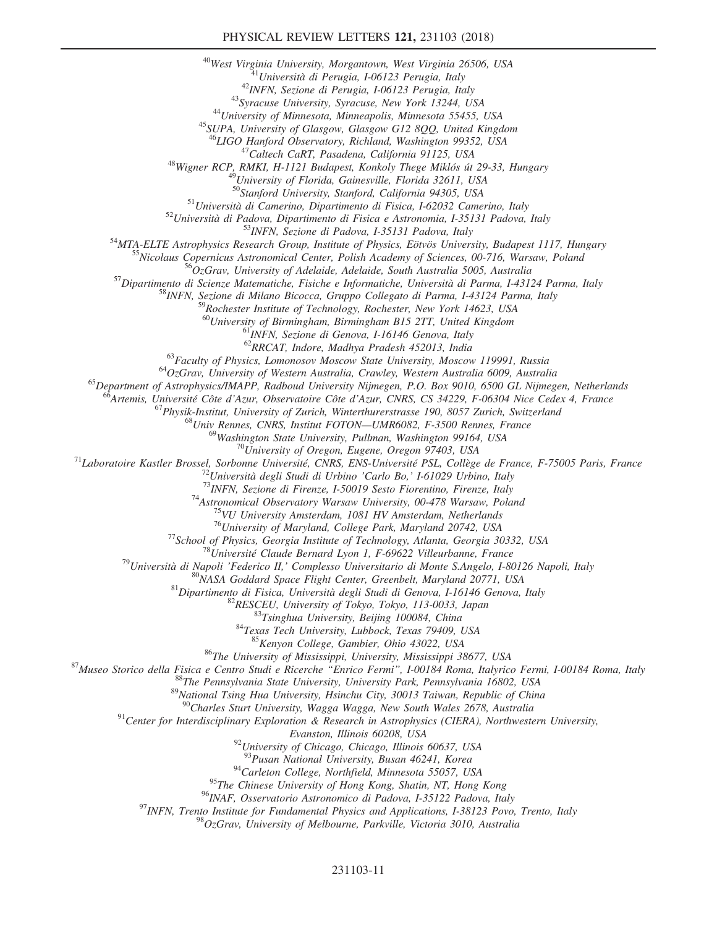# PHYSICAL REVIEW LETTERS 121, 231103 (2018)

<sup>40</sup>West Virginia University, Morgantown, West Virginia 26506, USA<br><sup>41</sup>Università di Perugia, I-06123 Perugia, Italy<br><sup>42</sup>INFN, Sezione di Perugia, I-06123 Perugia, Italy<br><sup>43</sup>Syracuse University, Syracuse, New York 13244,

<sup>47</sup>Caltech CaRT, Pasadena, California 91125, USA<br><sup>48</sup>Wigner RCP, RMKI, H-1121 Budapest, Konkoly Thege Miklós út 29-33, Hungary<br><sup>49</sup>University of Florida, Gainesville, Florida 32611, USA<br><sup>50</sup>Stanford University, Stanford,

<sup>51</sup>Università di Camerino, Dipartimento di Fisica, I-62032 Camerino, Italy<br><sup>52</sup>Università di Padova, Dipartimento di Fisica e Astronomia, I-35131 Padova, Italy<br><sup>53</sup>INFN, Sezione di Padova, I-35131 Padova, Italy<br><sup>53</sup>INFN,

<sup>59</sup>Rochester Institute of Technology, Rochester, New York 14623, USA

<sup>60</sup>University of Birmingham, Birmingham B15 2TT, United Kingdom<br><sup>61</sup>INFN, Sezione di Genova, I-16146 Genova, Italy<br><sup>62</sup>RRCAT, Indore, Madhya Pradesh 452013, India

<sup>63</sup> Faculty of Physics, Lomonosov Moscow State University, Moscow 119991, Russia<br><sup>64</sup>OzGrav, University of Western Australia, Crawley, Western Australia 6009, Australia<br><sup>65</sup>Department of Astrophysics/IMAPP, Radboud Unive

<sup>65</sup> Artemis, Université Côte d'Azur, Observatoire Côte d'Azur, CNRS, CS 34229, F-06304 Nice Cedex 4, France<br><sup>67</sup> Physik-Institut, University of Zurich, Winterthurerstrasse 190, 8057 Zurich, Switzerland<br><sup>68</sup> Univ Rennes,

<sup>70</sup>University of Oregon, Eugene, Oregon 97403, USA<br><sup>71</sup>Laboratoire Kastler Brossel, Sorbonne Université, CNRS, ENS-Université PSL, Collège de France, F-75005 Paris, France<br><sup>72</sup>Università degli Studi di Urbino 'Carlo Bo,'

<sup>76</sup>University of Maryland, College Park, Maryland 20742, USA<br>
<sup>77</sup>School of Physics, Georgia Institute of Technology, Atlanta, Georgia 30332, USA<br>
<sup>79</sup>Università Claude Bernard Lyon 1, F-69602 Villeurbane, France<br>
<sup>89</sup>Un

<sup>89</sup>National Tsing Hua University, Hsinchu City, 30013 Taiwan, Republic of China<br><sup>90</sup>Charles Sturt University, Wagga Wagga, New South Wales 2678, Australia<br><sup>91</sup>Center for Interdisciplinary Exploration & Research in Astrop

<sup>92</sup>University of Chicago, Chicago, Illinois 60637, USA <sup>93</sup>Pusan National University, Busan 46241, Korea

<sup>94</sup>Carleton College, Northfield, Minnesota 55057, USA

<sup>95</sup>The Chinese University of Hong Kong, Shatin, NT, Hong Kong<br><sup>96</sup>INAF, Osservatorio Astronomico di Padova, I-35122 Padova, Italy

<sup>97</sup>INFN, Trento Institute for Fundamental Physics and Applications, I-38123 Povo, Trento, Italy<br><sup>98</sup>OzGrav, University of Melbourne, Parkville, Victoria 3010, Australia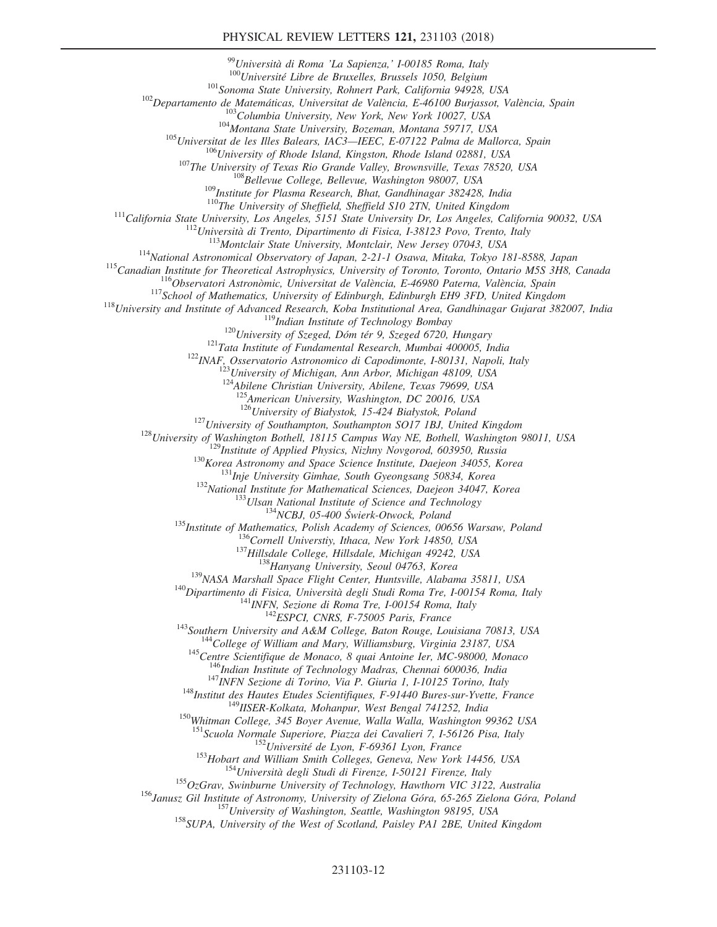## PHYSICAL REVIEW LETTERS 121, 231103 (2018)

<sup>99</sup>Università di Roma <sup>1</sup>La Sapienza, 1-00185 Roma, Italy<br><sup>103</sup>Università di Roma <sup>1</sup>La Sapienza, 1-00185 Romas (16)<br><sup>103</sup>Sonoma Siate University, Rohnert Park, California 94928, USA<br><sup>103</sup> Sonoma Siate University, Nohner  $^{125}$ American University, Washington, DC 20016, USA<br> $^{126}$ University of Białystok, 15-424 Białystok, Poland <sup>126</sup>University of Białystok, 15-424 Białystok, Poland<br>
<sup>126</sup>University of Suchampton, Southampton SOIT 1BJ, United Kingdom<br>
<sup>128</sup>University of Washington Bothell, 18115 Campus Way NE, Bothell, Washington 98011, USA<br>
<sup>139</sup> <sup>150</sup>Whitman College, 345 Boyer Avenue, Walla Walla, Washington 99362 USA<br><sup>151</sup>Scuola Normale Superiore, Piazza dei Cavalieri 7, 1-56126 Pisa, Italy<br><sup>152</sup>Université de Lyon, F-69361 Lyon, France<br><sup>153</sup>Hobart and William Sm